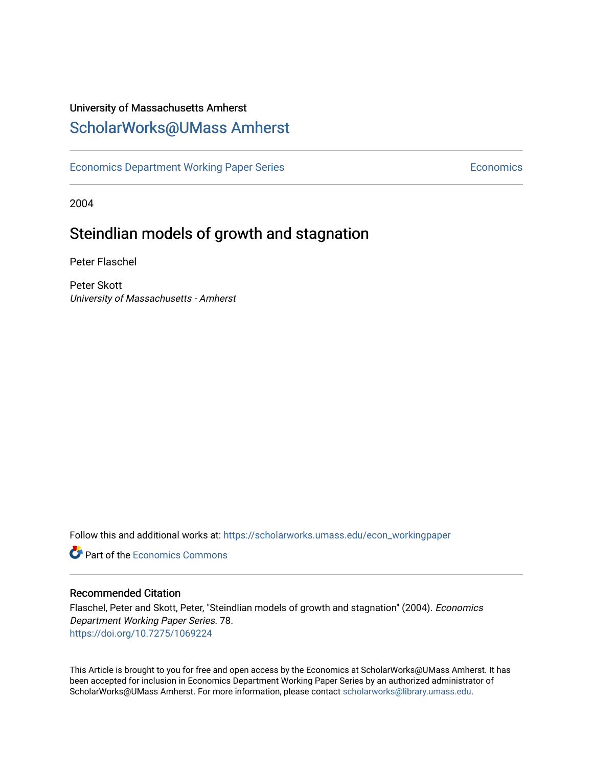## University of Massachusetts Amherst [ScholarWorks@UMass Amherst](https://scholarworks.umass.edu/)

[Economics Department Working Paper Series](https://scholarworks.umass.edu/econ_workingpaper) **Economics** Economics

2004

## Steindlian models of growth and stagnation

Peter Flaschel

Peter Skott University of Massachusetts - Amherst

Follow this and additional works at: [https://scholarworks.umass.edu/econ\\_workingpaper](https://scholarworks.umass.edu/econ_workingpaper?utm_source=scholarworks.umass.edu%2Fecon_workingpaper%2F78&utm_medium=PDF&utm_campaign=PDFCoverPages) 

**C** Part of the [Economics Commons](http://network.bepress.com/hgg/discipline/340?utm_source=scholarworks.umass.edu%2Fecon_workingpaper%2F78&utm_medium=PDF&utm_campaign=PDFCoverPages)

#### Recommended Citation

Flaschel, Peter and Skott, Peter, "Steindlian models of growth and stagnation" (2004). Economics Department Working Paper Series. 78. <https://doi.org/10.7275/1069224>

This Article is brought to you for free and open access by the Economics at ScholarWorks@UMass Amherst. It has been accepted for inclusion in Economics Department Working Paper Series by an authorized administrator of ScholarWorks@UMass Amherst. For more information, please contact [scholarworks@library.umass.edu.](mailto:scholarworks@library.umass.edu)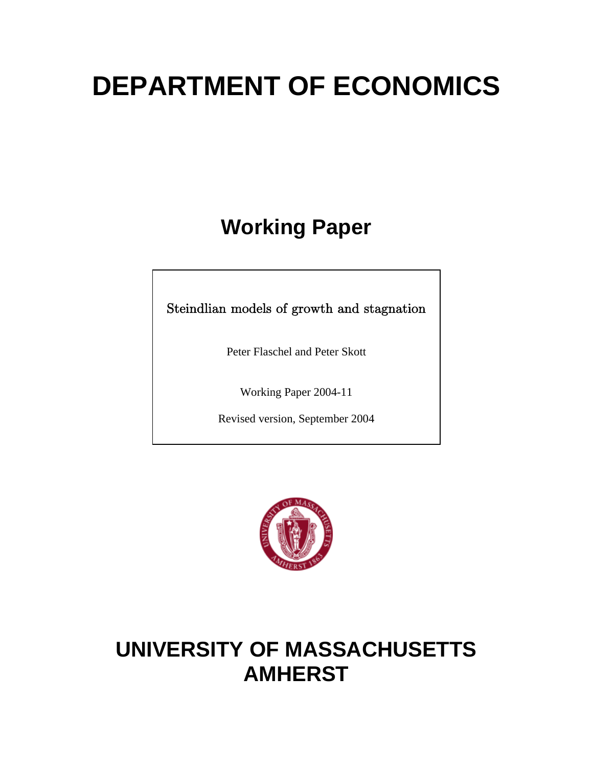# **DEPARTMENT OF ECONOMICS**

## **Working Paper**

Steindlian models of growth and stagnation

Peter Flaschel and Peter Skott

Working Paper 2004-11

Revised version, September 2004



## **UNIVERSITY OF MASSACHUSETTS AMHERST**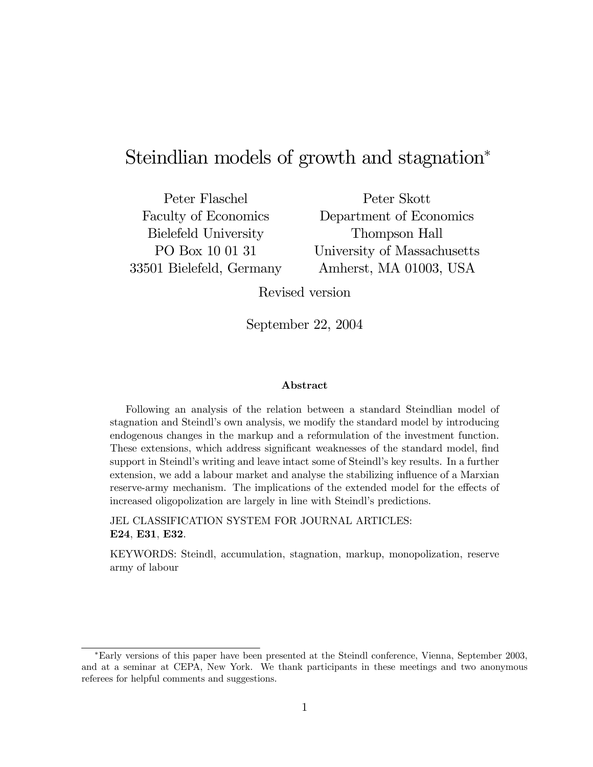## Steindlian models of growth and stagnation<sup>∗</sup>

Peter Flaschel Faculty of Economics Bielefeld University PO Box 10 01 31 33501 Bielefeld, Germany

Peter Skott Department of Economics Thompson Hall University of Massachusetts Amherst, MA 01003, USA

Revised version

September 22, 2004

#### Abstract

Following an analysis of the relation between a standard Steindlian model of stagnation and Steindl's own analysis, we modify the standard model by introducing endogenous changes in the markup and a reformulation of the investment function. These extensions, which address significant weaknesses of the standard model, find support in Steindl's writing and leave intact some of Steindl's key results. In a further extension, we add a labour market and analyse the stabilizing influence of a Marxian reserve-army mechanism. The implications of the extended model for the effects of increased oligopolization are largely in line with Steindl's predictions.

JEL CLASSIFICATION SYSTEM FOR JOURNAL ARTICLES: E24, E31, E32.

KEYWORDS: Steindl, accumulation, stagnation, markup, monopolization, reserve army of labour

<sup>∗</sup>Early versions of this paper have been presented at the Steindl conference, Vienna, September 2003, and at a seminar at CEPA, New York. We thank participants in these meetings and two anonymous referees for helpful comments and suggestions.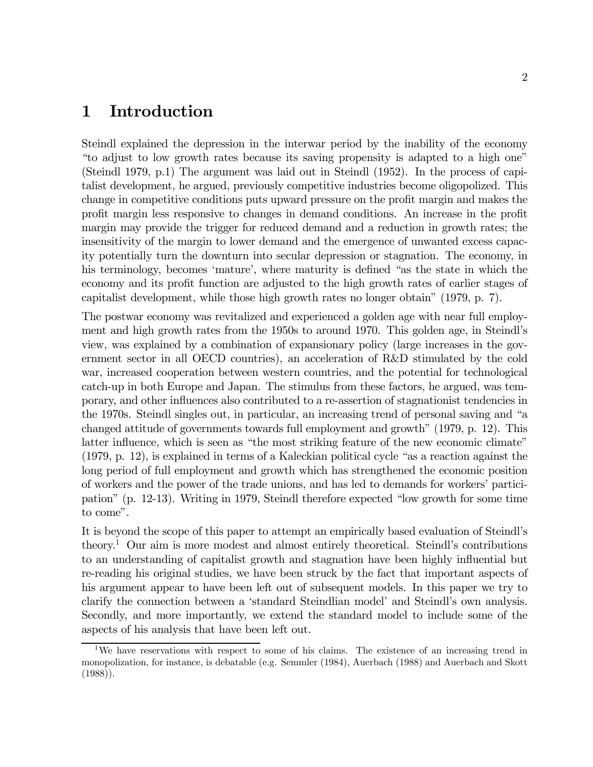### 1 Introduction

Steindl explained the depression in the interwar period by the inability of the economy "to adjust to low growth rates because its saving propensity is adapted to a high one" (Steindl 1979, p.1) The argument was laid out in Steindl (1952). In the process of capitalist development, he argued, previously competitive industries become oligopolized. This change in competitive conditions puts upward pressure on the profit margin and makes the profit margin less responsive to changes in demand conditions. An increase in the profit margin may provide the trigger for reduced demand and a reduction in growth rates; the insensitivity of the margin to lower demand and the emergence of unwanted excess capacity potentially turn the downturn into secular depression or stagnation. The economy, in his terminology, becomes 'mature', where maturity is defined "as the state in which the economy and its profit function are adjusted to the high growth rates of earlier stages of capitalist development, while those high growth rates no longer obtain" (1979, p. 7).

The postwar economy was revitalized and experienced a golden age with near full employment and high growth rates from the 1950s to around 1970. This golden age, in Steindl's view, was explained by a combination of expansionary policy (large increases in the government sector in all OECD countries), an acceleration of R&D stimulated by the cold war, increased cooperation between western countries, and the potential for technological catch-up in both Europe and Japan. The stimulus from these factors, he argued, was temporary, and other influences also contributed to a re-assertion of stagnationist tendencies in the 1970s. Steindl singles out, in particular, an increasing trend of personal saving and "a changed attitude of governments towards full employment and growth" (1979, p. 12). This latter influence, which is seen as "the most striking feature of the new economic climate" (1979, p. 12), is explained in terms of a Kaleckian political cycle "as a reaction against the long period of full employment and growth which has strengthened the economic position of workers and the power of the trade unions, and has led to demands for workers' participation" (p. 12-13). Writing in 1979, Steindl therefore expected "low growth for some time to come".

It is beyond the scope of this paper to attempt an empirically based evaluation of Steindl's theory.1 Our aim is more modest and almost entirely theoretical. Steindl's contributions to an understanding of capitalist growth and stagnation have been highly influential but re-reading his original studies, we have been struck by the fact that important aspects of his argument appear to have been left out of subsequent models. In this paper we try to clarify the connection between a 'standard Steindlian model' and Steindl's own analysis. Secondly, and more importantly, we extend the standard model to include some of the aspects of his analysis that have been left out.

<sup>&</sup>lt;sup>1</sup>We have reservations with respect to some of his claims. The existence of an increasing trend in monopolization, for instance, is debatable (e.g. Semmler (1984), Auerbach (1988) and Auerbach and Skott  $(1988)$ .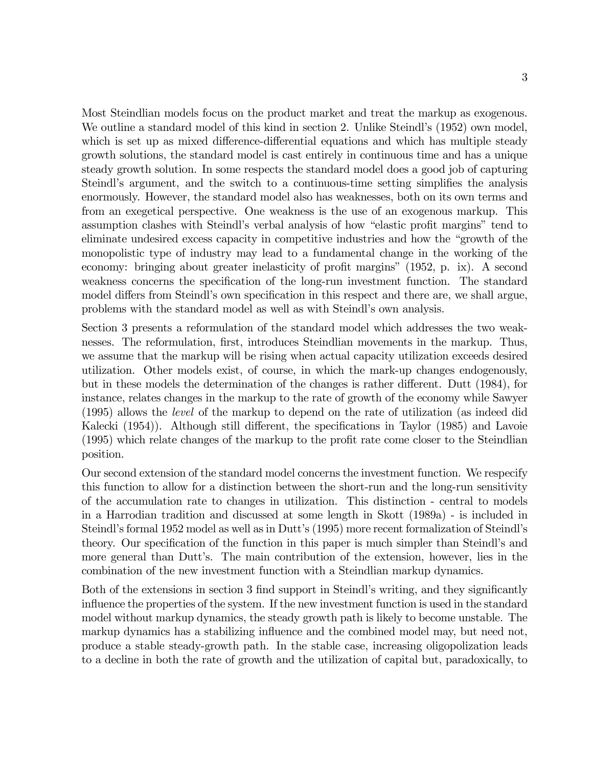Most Steindlian models focus on the product market and treat the markup as exogenous. We outline a standard model of this kind in section 2. Unlike Steindl's  $(1952)$  own model, which is set up as mixed difference-differential equations and which has multiple steady growth solutions, the standard model is cast entirely in continuous time and has a unique steady growth solution. In some respects the standard model does a good job of capturing Steindl's argument, and the switch to a continuous-time setting simplifies the analysis enormously. However, the standard model also has weaknesses, both on its own terms and from an exegetical perspective. One weakness is the use of an exogenous markup. This assumption clashes with Steindl's verbal analysis of how "elastic profit margins" tend to eliminate undesired excess capacity in competitive industries and how the "growth of the monopolistic type of industry may lead to a fundamental change in the working of the economy: bringing about greater inelasticity of profit margins" (1952, p. ix). A second weakness concerns the specification of the long-run investment function. The standard model differs from Steindl's own specification in this respect and there are, we shall argue, problems with the standard model as well as with Steindl's own analysis.

Section 3 presents a reformulation of the standard model which addresses the two weaknesses. The reformulation, first, introduces Steindlian movements in the markup. Thus, we assume that the markup will be rising when actual capacity utilization exceeds desired utilization. Other models exist, of course, in which the mark-up changes endogenously, but in these models the determination of the changes is rather different. Dutt (1984), for instance, relates changes in the markup to the rate of growth of the economy while Sawyer (1995) allows the level of the markup to depend on the rate of utilization (as indeed did Kalecki (1954)). Although still different, the specifications in Taylor (1985) and Lavoie (1995) which relate changes of the markup to the profit rate come closer to the Steindlian position.

Our second extension of the standard model concerns the investment function. We respecify this function to allow for a distinction between the short-run and the long-run sensitivity of the accumulation rate to changes in utilization. This distinction - central to models in a Harrodian tradition and discussed at some length in Skott (1989a) - is included in Steindl's formal 1952 model as well as in Dutt's (1995) more recent formalization of Steindl's theory. Our specification of the function in this paper is much simpler than Steindl's and more general than Dutt's. The main contribution of the extension, however, lies in the combination of the new investment function with a Steindlian markup dynamics.

Both of the extensions in section 3 find support in Steindl's writing, and they significantly influence the properties of the system. If the new investment function is used in the standard model without markup dynamics, the steady growth path is likely to become unstable. The markup dynamics has a stabilizing influence and the combined model may, but need not, produce a stable steady-growth path. In the stable case, increasing oligopolization leads to a decline in both the rate of growth and the utilization of capital but, paradoxically, to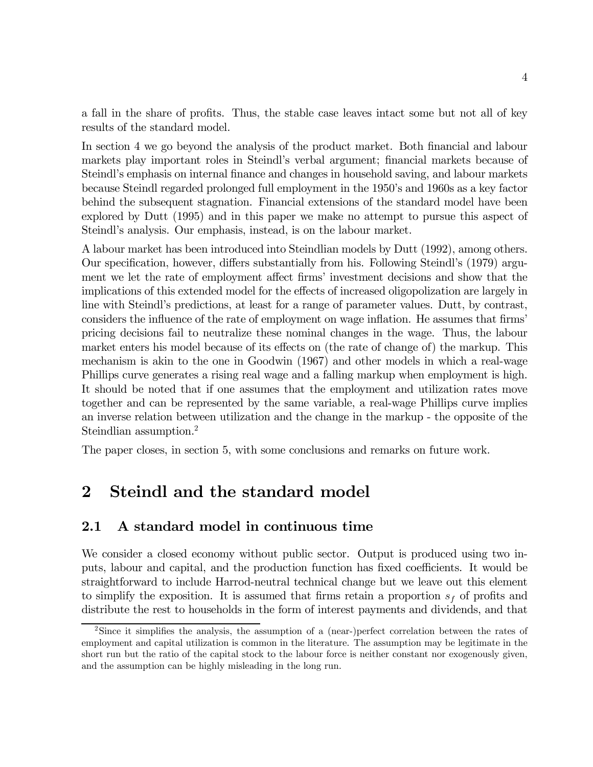a fall in the share of profits. Thus, the stable case leaves intact some but not all of key results of the standard model.

In section 4 we go beyond the analysis of the product market. Both financial and labour markets play important roles in Steindl's verbal argument; financial markets because of Steindl's emphasis on internal finance and changes in household saving, and labour markets because Steindl regarded prolonged full employment in the 1950's and 1960s as a key factor behind the subsequent stagnation. Financial extensions of the standard model have been explored by Dutt (1995) and in this paper we make no attempt to pursue this aspect of Steindl's analysis. Our emphasis, instead, is on the labour market.

A labour market has been introduced into Steindlian models by Dutt (1992), among others. Our specification, however, differs substantially from his. Following Steindl's (1979) argument we let the rate of employment affect firms' investment decisions and show that the implications of this extended model for the effects of increased oligopolization are largely in line with Steindl's predictions, at least for a range of parameter values. Dutt, by contrast, considers the influence of the rate of employment on wage inflation. He assumes that firms' pricing decisions fail to neutralize these nominal changes in the wage. Thus, the labour market enters his model because of its effects on (the rate of change of) the markup. This mechanism is akin to the one in Goodwin (1967) and other models in which a real-wage Phillips curve generates a rising real wage and a falling markup when employment is high. It should be noted that if one assumes that the employment and utilization rates move together and can be represented by the same variable, a real-wage Phillips curve implies an inverse relation between utilization and the change in the markup - the opposite of the Steindlian assumption.<sup>2</sup>

The paper closes, in section 5, with some conclusions and remarks on future work.

## 2 Steindl and the standard model

#### 2.1 A standard model in continuous time

We consider a closed economy without public sector. Output is produced using two inputs, labour and capital, and the production function has fixed coefficients. It would be straightforward to include Harrod-neutral technical change but we leave out this element to simplify the exposition. It is assumed that firms retain a proportion  $s_f$  of profits and distribute the rest to households in the form of interest payments and dividends, and that

<sup>2</sup>Since it simplifies the analysis, the assumption of a (near-)perfect correlation between the rates of employment and capital utilization is common in the literature. The assumption may be legitimate in the short run but the ratio of the capital stock to the labour force is neither constant nor exogenously given, and the assumption can be highly misleading in the long run.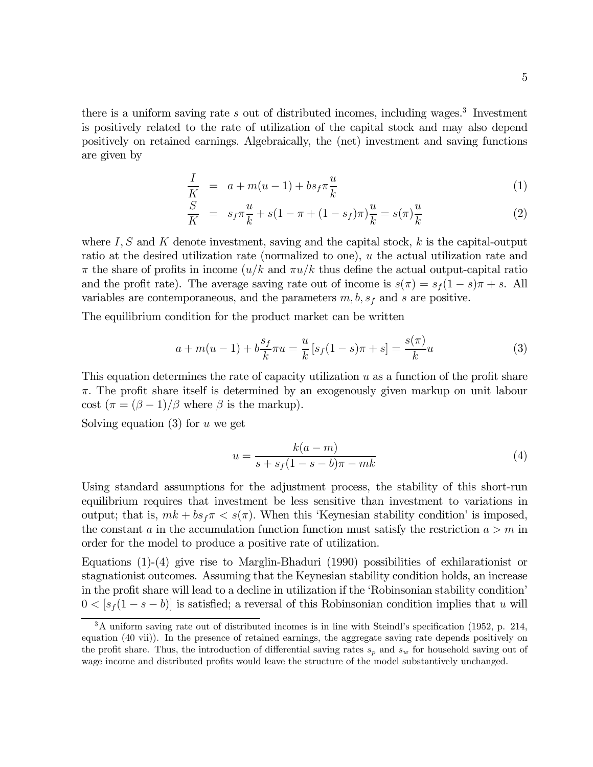there is a uniform saving rate s out of distributed incomes, including wages.<sup>3</sup> Investment is positively related to the rate of utilization of the capital stock and may also depend positively on retained earnings. Algebraically, the (net) investment and saving functions are given by

$$
\frac{I}{K} = a + m(u-1) + bs_f \pi \frac{u}{k} \tag{1}
$$

$$
\frac{S}{K} = s_f \pi \frac{u}{k} + s(1 - \pi + (1 - s_f)\pi) \frac{u}{k} = s(\pi) \frac{u}{k}
$$
 (2)

where I, S and K denote investment, saving and the capital stock,  $k$  is the capital-output ratio at the desired utilization rate (normalized to one), u the actual utilization rate and  $\pi$  the share of profits in income  $(u/k$  and  $\pi u/k$  thus define the actual output-capital ratio and the profit rate). The average saving rate out of income is  $s(\pi) = s_f(1-s)\pi + s$ . All variables are contemporaneous, and the parameters  $m, b, s_f$  and s are positive.

The equilibrium condition for the product market can be written

$$
a + m(u - 1) + b\frac{s_f}{k}\pi u = \frac{u}{k}[s_f(1 - s)\pi + s] = \frac{s(\pi)}{k}u
$$
 (3)

This equation determines the rate of capacity utilization  $u$  as a function of the profit share  $\pi$ . The profit share itself is determined by an exogenously given markup on unit labour cost  $(\pi = (\beta - 1)/\beta$  where  $\beta$  is the markup).

Solving equation  $(3)$  for u we get

$$
u = \frac{k(a-m)}{s + s_f(1 - s - b)\pi - mk}
$$
 (4)

Using standard assumptions for the adjustment process, the stability of this short-run equilibrium requires that investment be less sensitive than investment to variations in output; that is,  $mk + bs_f \pi \lt s(\pi)$ . When this 'Keynesian stability condition' is imposed, the constant a in the accumulation function function must satisfy the restriction  $a>m$  in order for the model to produce a positive rate of utilization.

Equations (1)-(4) give rise to Marglin-Bhaduri (1990) possibilities of exhilarationist or stagnationist outcomes. Assuming that the Keynesian stability condition holds, an increase in the profit share will lead to a decline in utilization if the 'Robinsonian stability condition'  $0 < [s_f(1-s-b)]$  is satisfied; a reversal of this Robinsonian condition implies that u will

<sup>3</sup>A uniform saving rate out of distributed incomes is in line with Steindl's specification (1952, p. 214, equation (40 vii)). In the presence of retained earnings, the aggregate saving rate depends positively on the profit share. Thus, the introduction of differential saving rates  $s_p$  and  $s_w$  for household saving out of wage income and distributed profits would leave the structure of the model substantively unchanged.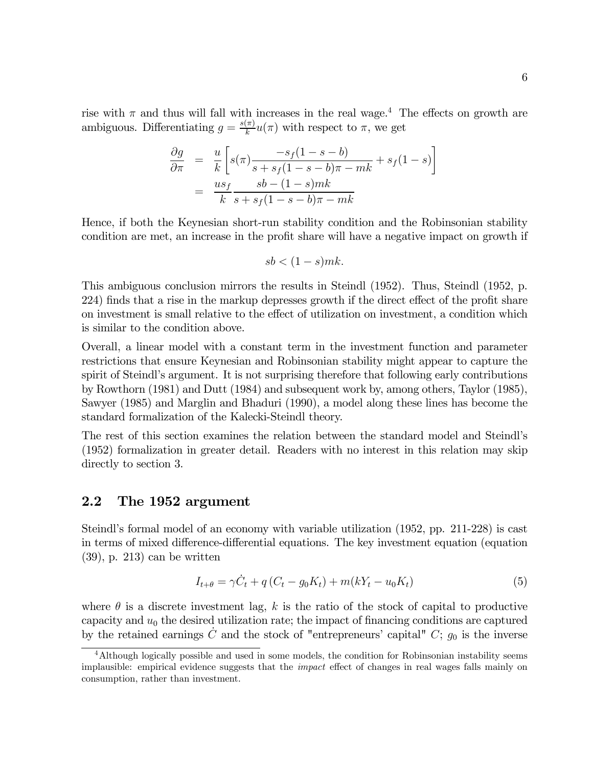rise with  $\pi$  and thus will fall with increases in the real wage.<sup>4</sup> The effects on growth are ambiguous. Differentiating  $g = \frac{s(\pi)}{k} u(\pi)$  with respect to  $\pi$ , we get

$$
\frac{\partial g}{\partial \pi} = \frac{u}{k} \left[ s(\pi) \frac{-s_f(1-s-b)}{s + s_f(1-s-b)\pi - mk} + s_f(1-s) \right]
$$

$$
= \frac{us_f}{k} \frac{sb - (1-s)mk}{s + s_f(1-s-b)\pi - mk}
$$

Hence, if both the Keynesian short-run stability condition and the Robinsonian stability condition are met, an increase in the profit share will have a negative impact on growth if

$$
sb < (1-s)m k.
$$

This ambiguous conclusion mirrors the results in Steindl (1952). Thus, Steindl (1952, p. 224) finds that a rise in the markup depresses growth if the direct effect of the profit share on investment is small relative to the effect of utilization on investment, a condition which is similar to the condition above.

Overall, a linear model with a constant term in the investment function and parameter restrictions that ensure Keynesian and Robinsonian stability might appear to capture the spirit of Steindl's argument. It is not surprising therefore that following early contributions by Rowthorn (1981) and Dutt (1984) and subsequent work by, among others, Taylor (1985), Sawyer (1985) and Marglin and Bhaduri (1990), a model along these lines has become the standard formalization of the Kalecki-Steindl theory.

The rest of this section examines the relation between the standard model and Steindl's (1952) formalization in greater detail. Readers with no interest in this relation may skip directly to section 3.

#### 2.2 The 1952 argument

Steindl's formal model of an economy with variable utilization (1952, pp. 211-228) is cast in terms of mixed difference-differential equations. The key investment equation (equation (39), p. 213) can be written

$$
I_{t+\theta} = \gamma \dot{C}_t + q(C_t - g_0 K_t) + m(kY_t - u_0 K_t)
$$
\n(5)

where  $\theta$  is a discrete investment lag, k is the ratio of the stock of capital to productive capacity and  $u_0$  the desired utilization rate; the impact of financing conditions are captured by the retained earnings  $\dot{C}$  and the stock of "entrepreneurs' capital"  $C$ ;  $g_0$  is the inverse

<sup>&</sup>lt;sup>4</sup>Although logically possible and used in some models, the condition for Robinsonian instability seems implausible: empirical evidence suggests that the impact effect of changes in real wages falls mainly on consumption, rather than investment.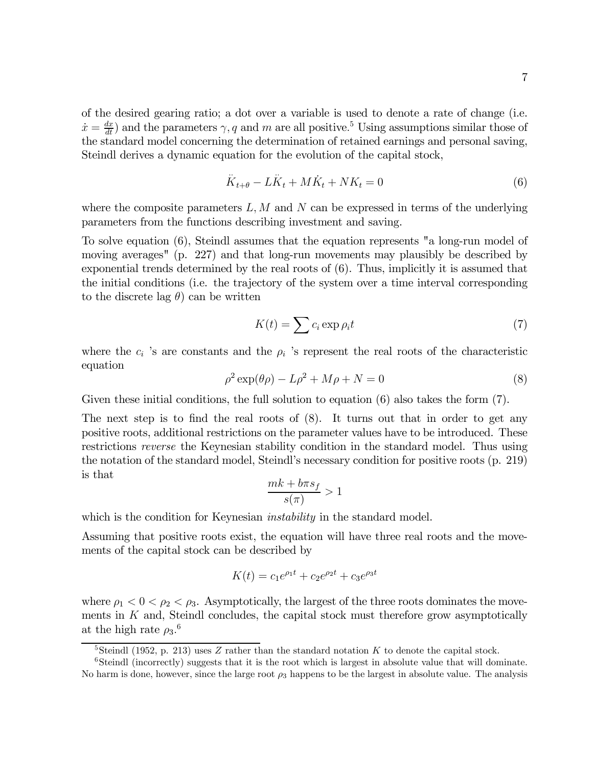of the desired gearing ratio; a dot over a variable is used to denote a rate of change (i.e.  $\dot{x} = \frac{dx}{dt}$  and the parameters  $\gamma$ , q and m are all positive.<sup>5</sup> Using assumptions similar those of the standard model concerning the determination of retained earnings and personal saving, Steindl derives a dynamic equation for the evolution of the capital stock,

$$
\ddot{K}_{t+\theta} - L\ddot{K}_t + M\dot{K}_t + NK_t = 0
$$
\n<sup>(6)</sup>

where the composite parameters  $L, M$  and N can be expressed in terms of the underlying parameters from the functions describing investment and saving.

To solve equation (6), Steindl assumes that the equation represents "a long-run model of moving averages" (p. 227) and that long-run movements may plausibly be described by exponential trends determined by the real roots of (6). Thus, implicitly it is assumed that the initial conditions (i.e. the trajectory of the system over a time interval corresponding to the discrete lag  $\theta$ ) can be written

$$
K(t) = \sum c_i \exp \rho_i t \tag{7}
$$

where the  $c_i$  's are constants and the  $\rho_i$  's represent the real roots of the characteristic equation

$$
\rho^2 \exp(\theta \rho) - L\rho^2 + M\rho + N = 0 \tag{8}
$$

Given these initial conditions, the full solution to equation (6) also takes the form (7).

The next step is to find the real roots of (8). It turns out that in order to get any positive roots, additional restrictions on the parameter values have to be introduced. These restrictions reverse the Keynesian stability condition in the standard model. Thus using the notation of the standard model, Steindl's necessary condition for positive roots (p. 219) is that

$$
\frac{mk + b\pi s_f}{s(\pi)} > 1
$$

which is the condition for Keynesian *instability* in the standard model.

Assuming that positive roots exist, the equation will have three real roots and the movements of the capital stock can be described by

$$
K(t) = c_1 e^{\rho_1 t} + c_2 e^{\rho_2 t} + c_3 e^{\rho_3 t}
$$

where  $\rho_1 < 0 < \rho_2 < \rho_3$ . Asymptotically, the largest of the three roots dominates the movements in  $K$  and, Steindl concludes, the capital stock must therefore grow asymptotically at the high rate  $\rho_3$ .<sup>6</sup>

<sup>&</sup>lt;sup>5</sup>Steindl (1952, p. 213) uses Z rather than the standard notation K to denote the capital stock.

<sup>6</sup>Steindl (incorrectly) suggests that it is the root which is largest in absolute value that will dominate. No harm is done, however, since the large root  $\rho_3$  happens to be the largest in absolute value. The analysis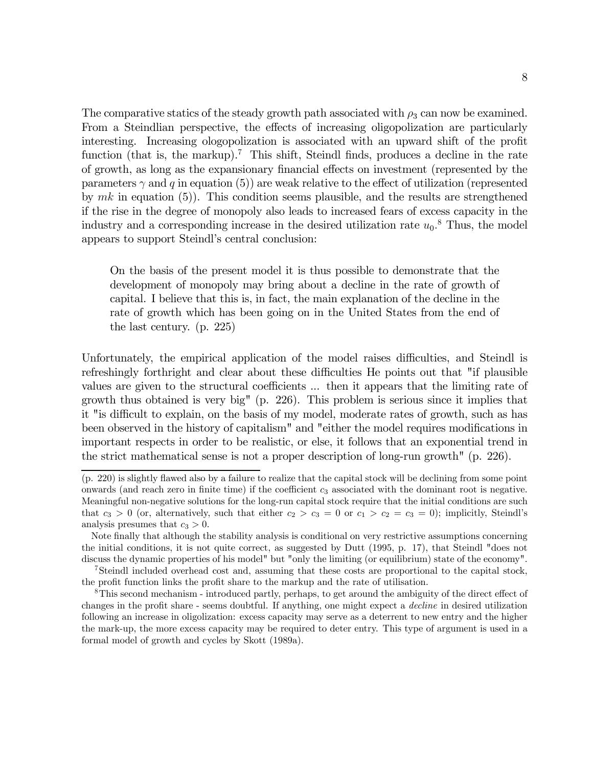The comparative statics of the steady growth path associated with  $\rho_3$  can now be examined. From a Steindlian perspective, the effects of increasing oligopolization are particularly interesting. Increasing ologopolization is associated with an upward shift of the profit function (that is, the markup).<sup>7</sup> This shift, Steindl finds, produces a decline in the rate of growth, as long as the expansionary financial effects on investment (represented by the parameters  $\gamma$  and q in equation (5)) are weak relative to the effect of utilization (represented by  $mk$  in equation (5)). This condition seems plausible, and the results are strengthened if the rise in the degree of monopoly also leads to increased fears of excess capacity in the industry and a corresponding increase in the desired utilization rate  $u_0$ .<sup>8</sup> Thus, the model appears to support Steindl's central conclusion:

On the basis of the present model it is thus possible to demonstrate that the development of monopoly may bring about a decline in the rate of growth of capital. I believe that this is, in fact, the main explanation of the decline in the rate of growth which has been going on in the United States from the end of the last century. (p. 225)

Unfortunately, the empirical application of the model raises difficulties, and Steindl is refreshingly forthright and clear about these difficulties He points out that "if plausible values are given to the structural coefficients ... then it appears that the limiting rate of growth thus obtained is very big" (p. 226). This problem is serious since it implies that it "is difficult to explain, on the basis of my model, moderate rates of growth, such as has been observed in the history of capitalism" and "either the model requires modifications in important respects in order to be realistic, or else, it follows that an exponential trend in the strict mathematical sense is not a proper description of long-run growth" (p. 226).

<sup>(</sup>p. 220) is slightly flawed also by a failure to realize that the capital stock will be declining from some point onwards (and reach zero in finite time) if the coefficient  $c_3$  associated with the dominant root is negative. Meaningful non-negative solutions for the long-run capital stock require that the initial conditions are such that  $c_3 > 0$  (or, alternatively, such that either  $c_2 > c_3 = 0$  or  $c_1 > c_2 = c_3 = 0$ ); implicitly, Steindl's analysis presumes that  $c_3 > 0$ .

Note finally that although the stability analysis is conditional on very restrictive assumptions concerning the initial conditions, it is not quite correct, as suggested by Dutt (1995, p. 17), that Steindl "does not discuss the dynamic properties of his model" but "only the limiting (or equilibrium) state of the economy".

<sup>7</sup>Steindl included overhead cost and, assuming that these costs are proportional to the capital stock, the profit function links the profit share to the markup and the rate of utilisation.

<sup>8</sup>This second mechanism - introduced partly, perhaps, to get around the ambiguity of the direct effect of changes in the profit share - seems doubtful. If anything, one might expect a decline in desired utilization following an increase in oligolization: excess capacity may serve as a deterrent to new entry and the higher the mark-up, the more excess capacity may be required to deter entry. This type of argument is used in a formal model of growth and cycles by Skott (1989a).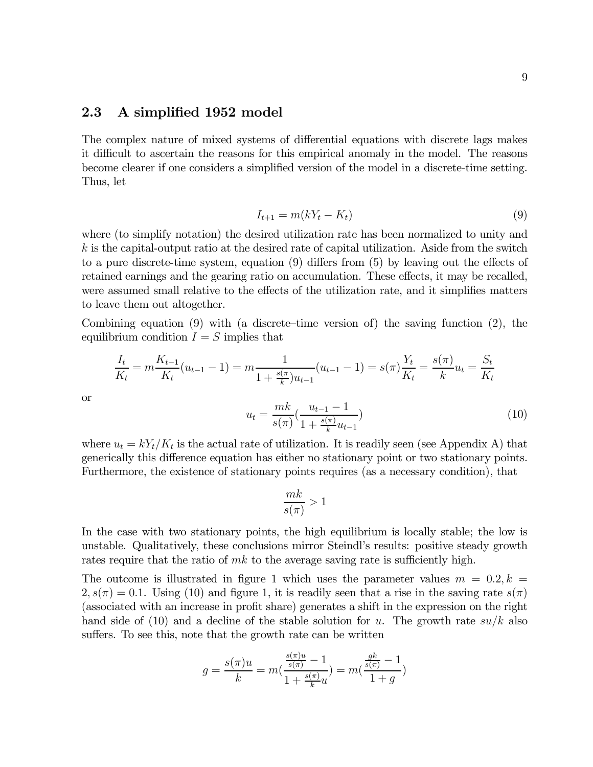#### 2.3 A simplified 1952 model

The complex nature of mixed systems of differential equations with discrete lags makes it difficult to ascertain the reasons for this empirical anomaly in the model. The reasons become clearer if one considers a simplified version of the model in a discrete-time setting. Thus, let

$$
I_{t+1} = m(kY_t - K_t) \tag{9}
$$

where (to simplify notation) the desired utilization rate has been normalized to unity and  $k$  is the capital-output ratio at the desired rate of capital utilization. Aside from the switch to a pure discrete-time system, equation (9) differs from (5) by leaving out the effects of retained earnings and the gearing ratio on accumulation. These effects, it may be recalled, were assumed small relative to the effects of the utilization rate, and it simplifies matters to leave them out altogether.

Combining equation  $(9)$  with (a discrete—time version of) the saving function  $(2)$ , the equilibrium condition  $I = S$  implies that

$$
\frac{I_t}{K_t} = m \frac{K_{t-1}}{K_t} (u_{t-1} - 1) = m \frac{1}{1 + \frac{s(\pi)}{k} u_{t-1}} (u_{t-1} - 1) = s(\pi) \frac{Y_t}{K_t} = \frac{s(\pi)}{k} u_t = \frac{S_t}{K_t}
$$

or

$$
u_t = \frac{mk}{s(\pi)} \left( \frac{u_{t-1} - 1}{1 + \frac{s(\pi)}{k} u_{t-1}} \right) \tag{10}
$$

where  $u_t = kY_t/K_t$  is the actual rate of utilization. It is readily seen (see Appendix A) that generically this difference equation has either no stationary point or two stationary points. Furthermore, the existence of stationary points requires (as a necessary condition), that

$$
\frac{mk}{s(\pi)} > 1
$$

In the case with two stationary points, the high equilibrium is locally stable; the low is unstable. Qualitatively, these conclusions mirror Steindl's results: positive steady growth rates require that the ratio of  $mk$  to the average saving rate is sufficiently high.

The outcome is illustrated in figure 1 which uses the parameter values  $m = 0.2, k = 1$  $2, s(\pi)=0.1$ . Using (10) and figure 1, it is readily seen that a rise in the saving rate  $s(\pi)$ (associated with an increase in profit share) generates a shift in the expression on the right hand side of (10) and a decline of the stable solution for u. The growth rate  $su/k$  also suffers. To see this, note that the growth rate can be written

$$
g = \frac{s(\pi)u}{k} = m(\frac{\frac{s(\pi)u}{s(\pi)} - 1}{1 + \frac{s(\pi)}{k}u}) = m(\frac{\frac{gk}{s(\pi)} - 1}{1 + g})
$$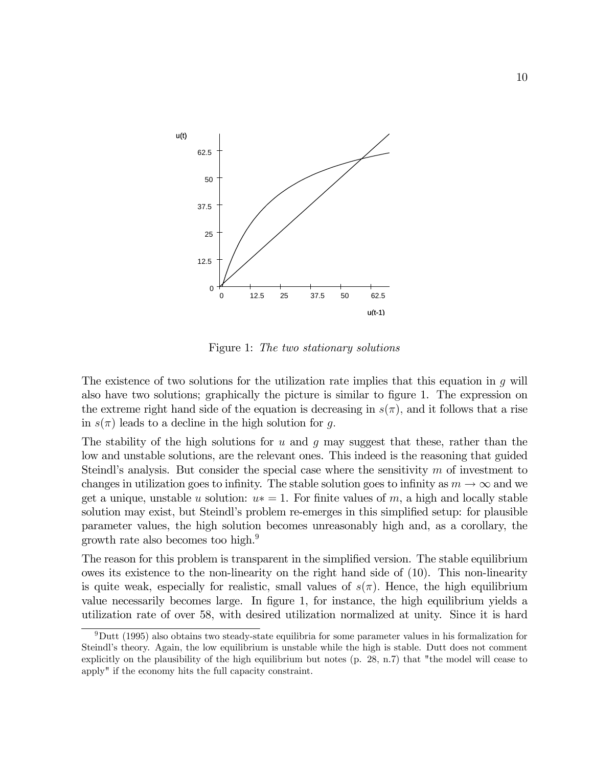

Figure 1: The two stationary solutions

The existence of two solutions for the utilization rate implies that this equation in g will also have two solutions; graphically the picture is similar to figure 1. The expression on the extreme right hand side of the equation is decreasing in  $s(\pi)$ , and it follows that a rise in  $s(\pi)$  leads to a decline in the high solution for q.

The stability of the high solutions for u and g may suggest that these, rather than the low and unstable solutions, are the relevant ones. This indeed is the reasoning that guided Steindl's analysis. But consider the special case where the sensitivity  $m$  of investment to changes in utilization goes to infinity. The stable solution goes to infinity as  $m \to \infty$  and we get a unique, unstable u solution:  $u* = 1$ . For finite values of m, a high and locally stable solution may exist, but Steindl's problem re-emerges in this simplified setup: for plausible parameter values, the high solution becomes unreasonably high and, as a corollary, the growth rate also becomes too high.<sup>9</sup>

The reason for this problem is transparent in the simplified version. The stable equilibrium owes its existence to the non-linearity on the right hand side of (10). This non-linearity is quite weak, especially for realistic, small values of  $s(\pi)$ . Hence, the high equilibrium value necessarily becomes large. In figure 1, for instance, the high equilibrium yields a utilization rate of over 58, with desired utilization normalized at unity. Since it is hard

<sup>9</sup>Dutt (1995) also obtains two steady-state equilibria for some parameter values in his formalization for Steindl's theory. Again, the low equilibrium is unstable while the high is stable. Dutt does not comment explicitly on the plausibility of the high equilibrium but notes (p. 28, n.7) that "the model will cease to apply" if the economy hits the full capacity constraint.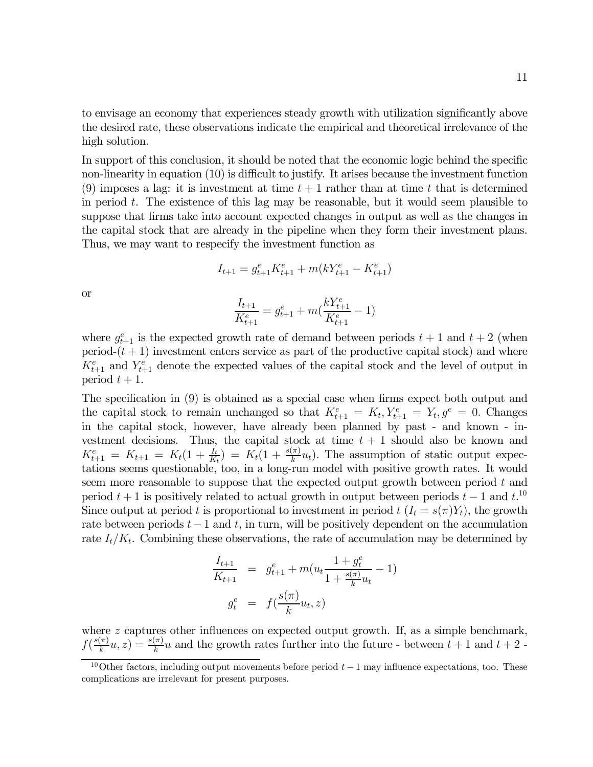to envisage an economy that experiences steady growth with utilization significantly above the desired rate, these observations indicate the empirical and theoretical irrelevance of the high solution.

In support of this conclusion, it should be noted that the economic logic behind the specific non-linearity in equation (10) is difficult to justify. It arises because the investment function (9) imposes a lag: it is investment at time  $t + 1$  rather than at time t that is determined in period  $t$ . The existence of this lag may be reasonable, but it would seem plausible to suppose that firms take into account expected changes in output as well as the changes in the capital stock that are already in the pipeline when they form their investment plans. Thus, we may want to respecify the investment function as

$$
I_{t+1} = g_{t+1}^e K_{t+1}^e + m(kY_{t+1}^e - K_{t+1}^e) \label{eq:1}
$$

or

$$
\frac{I_{t+1}}{K_{t+1}^e}=g_{t+1}^e+m(\frac{kY_{t+1}^e}{K_{t+1}^e}-1)
$$

where  $g_{t+1}^e$  is the expected growth rate of demand between periods  $t + 1$  and  $t + 2$  (when period- $(t + 1)$  investment enters service as part of the productive capital stock) and where  $K_{t+1}^e$  and  $Y_{t+1}^e$  denote the expected values of the capital stock and the level of output in period  $t+1$ .

The specification in (9) is obtained as a special case when firms expect both output and the capital stock to remain unchanged so that  $K_{t+1}^e = K_t, Y_{t+1}^e = Y_t, g^e = 0$ . Changes in the capital stock, however, have already been planned by past - and known - investment decisions. Thus, the capital stock at time  $t + 1$  should also be known and  $K_{t+1}^e = K_{t+1} = K_t(1 + \frac{I_t}{K_t}) = K_t(1 + \frac{s(\pi)}{k}u_t)$ . The assumption of static output expectations seems questionable, too, in a long-run model with positive growth rates. It would seem more reasonable to suppose that the expected output growth between period  $t$  and period  $t + 1$  is positively related to actual growth in output between periods  $t - 1$  and  $t$ .<sup>10</sup> Since output at period t is proportional to investment in period  $t (I_t = s(\pi)Y_t)$ , the growth rate between periods  $t-1$  and  $t$ , in turn, will be positively dependent on the accumulation rate  $I_t/K_t$ . Combining these observations, the rate of accumulation may be determined by

$$
\frac{I_{t+1}}{K_{t+1}} = g_{t+1}^e + m(u_t \frac{1 + g_t^e}{1 + \frac{s(\pi)}{k} u_t} - 1)
$$

$$
g_t^e = f(\frac{s(\pi)}{k} u_t, z)
$$

where  $z$  captures other influences on expected output growth. If, as a simple benchmark,  $f(\frac{s(\pi)}{k}u, z) = \frac{s(\pi)}{k}u$  and the growth rates further into the future - between  $t + 1$  and  $t + 2$  -

<sup>&</sup>lt;sup>10</sup>Other factors, including output movements before period  $t-1$  may influence expectations, too. These complications are irrelevant for present purposes.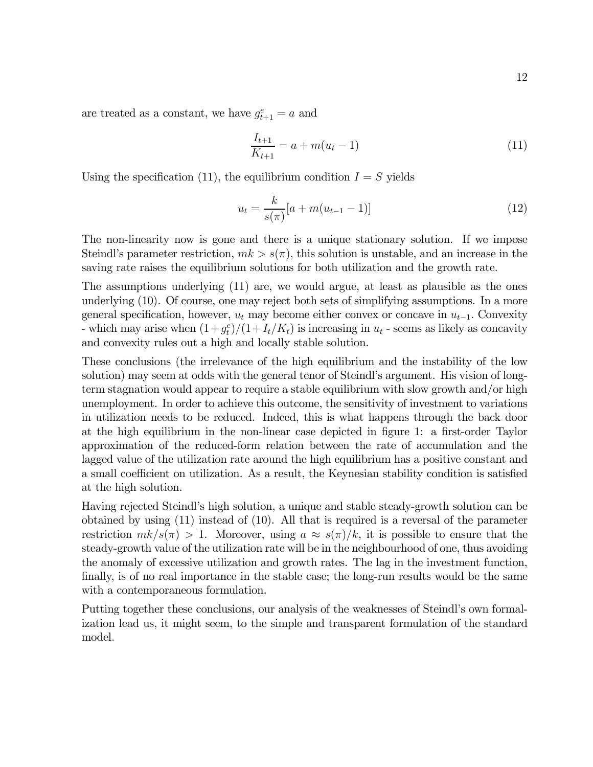are treated as a constant, we have  $g_{t+1}^e = a$  and

$$
\frac{I_{t+1}}{K_{t+1}} = a + m(u_t - 1) \tag{11}
$$

Using the specification (11), the equilibrium condition  $I = S$  yields

$$
u_t = \frac{k}{s(\pi)}[a + m(u_{t-1} - 1)]
$$
\n(12)

The non-linearity now is gone and there is a unique stationary solution. If we impose Steindl's parameter restriction,  $mk > s(\pi)$ , this solution is unstable, and an increase in the saving rate raises the equilibrium solutions for both utilization and the growth rate.

The assumptions underlying (11) are, we would argue, at least as plausible as the ones underlying (10). Of course, one may reject both sets of simplifying assumptions. In a more general specification, however,  $u_t$  may become either convex or concave in  $u_{t-1}$ . Convexity - which may arise when  $(1+g_t^e)/(1+I_t/K_t)$  is increasing in  $u_t$  - seems as likely as concavity and convexity rules out a high and locally stable solution.

These conclusions (the irrelevance of the high equilibrium and the instability of the low solution) may seem at odds with the general tenor of Steindl's argument. His vision of longterm stagnation would appear to require a stable equilibrium with slow growth and/or high unemployment. In order to achieve this outcome, the sensitivity of investment to variations in utilization needs to be reduced. Indeed, this is what happens through the back door at the high equilibrium in the non-linear case depicted in figure 1: a first-order Taylor approximation of the reduced-form relation between the rate of accumulation and the lagged value of the utilization rate around the high equilibrium has a positive constant and a small coefficient on utilization. As a result, the Keynesian stability condition is satisfied at the high solution.

Having rejected Steindl's high solution, a unique and stable steady-growth solution can be obtained by using (11) instead of (10). All that is required is a reversal of the parameter restriction  $mk/s(\pi) > 1$ . Moreover, using  $a \approx s(\pi)/k$ , it is possible to ensure that the steady-growth value of the utilization rate will be in the neighbourhood of one, thus avoiding the anomaly of excessive utilization and growth rates. The lag in the investment function, finally, is of no real importance in the stable case; the long-run results would be the same with a contemporaneous formulation.

Putting together these conclusions, our analysis of the weaknesses of Steindl's own formalization lead us, it might seem, to the simple and transparent formulation of the standard model.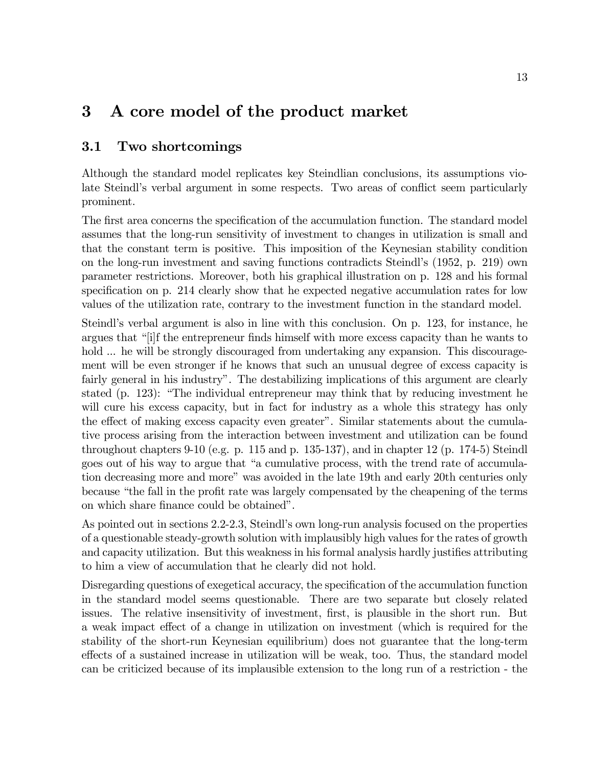## 3 A core model of the product market

#### 3.1 Two shortcomings

Although the standard model replicates key Steindlian conclusions, its assumptions violate Steindl's verbal argument in some respects. Two areas of conflict seem particularly prominent.

The first area concerns the specification of the accumulation function. The standard model assumes that the long-run sensitivity of investment to changes in utilization is small and that the constant term is positive. This imposition of the Keynesian stability condition on the long-run investment and saving functions contradicts Steindl's (1952, p. 219) own parameter restrictions. Moreover, both his graphical illustration on p. 128 and his formal specification on p. 214 clearly show that he expected negative accumulation rates for low values of the utilization rate, contrary to the investment function in the standard model.

Steindl's verbal argument is also in line with this conclusion. On p. 123, for instance, he argues that "[i]f the entrepreneur finds himself with more excess capacity than he wants to hold ... he will be strongly discouraged from undertaking any expansion. This discouragement will be even stronger if he knows that such an unusual degree of excess capacity is fairly general in his industry". The destabilizing implications of this argument are clearly stated (p. 123): "The individual entrepreneur may think that by reducing investment he will cure his excess capacity, but in fact for industry as a whole this strategy has only the effect of making excess capacity even greater". Similar statements about the cumulative process arising from the interaction between investment and utilization can be found throughout chapters 9-10 (e.g. p. 115 and p. 135-137), and in chapter 12 (p. 174-5) Steindl goes out of his way to argue that "a cumulative process, with the trend rate of accumulation decreasing more and more" was avoided in the late 19th and early 20th centuries only because "the fall in the profit rate was largely compensated by the cheapening of the terms on which share finance could be obtained".

As pointed out in sections 2.2-2.3, Steindl's own long-run analysis focused on the properties of a questionable steady-growth solution with implausibly high values for the rates of growth and capacity utilization. But this weakness in his formal analysis hardly justifies attributing to him a view of accumulation that he clearly did not hold.

Disregarding questions of exegetical accuracy, the specification of the accumulation function in the standard model seems questionable. There are two separate but closely related issues. The relative insensitivity of investment, first, is plausible in the short run. But a weak impact effect of a change in utilization on investment (which is required for the stability of the short-run Keynesian equilibrium) does not guarantee that the long-term effects of a sustained increase in utilization will be weak, too. Thus, the standard model can be criticized because of its implausible extension to the long run of a restriction - the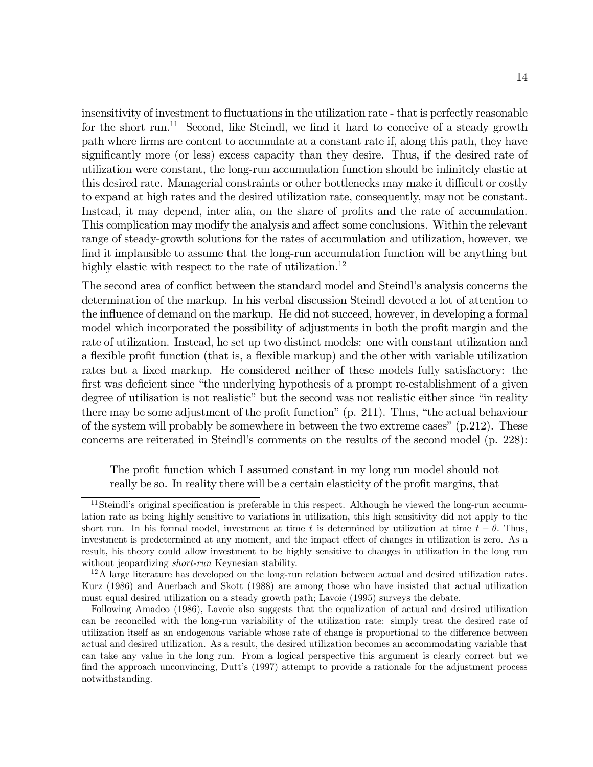insensitivity of investment to fluctuations in the utilization rate - that is perfectly reasonable for the short run.<sup>11</sup> Second, like Steindl, we find it hard to conceive of a steady growth path where firms are content to accumulate at a constant rate if, along this path, they have significantly more (or less) excess capacity than they desire. Thus, if the desired rate of utilization were constant, the long-run accumulation function should be infinitely elastic at this desired rate. Managerial constraints or other bottlenecks may make it difficult or costly to expand at high rates and the desired utilization rate, consequently, may not be constant. Instead, it may depend, inter alia, on the share of profits and the rate of accumulation. This complication may modify the analysis and affect some conclusions. Within the relevant range of steady-growth solutions for the rates of accumulation and utilization, however, we find it implausible to assume that the long-run accumulation function will be anything but highly elastic with respect to the rate of utilization.<sup>12</sup>

The second area of conflict between the standard model and Steindl's analysis concerns the determination of the markup. In his verbal discussion Steindl devoted a lot of attention to the influence of demand on the markup. He did not succeed, however, in developing a formal model which incorporated the possibility of adjustments in both the profit margin and the rate of utilization. Instead, he set up two distinct models: one with constant utilization and a flexible profit function (that is, a flexible markup) and the other with variable utilization rates but a fixed markup. He considered neither of these models fully satisfactory: the first was deficient since "the underlying hypothesis of a prompt re-establishment of a given degree of utilisation is not realistic" but the second was not realistic either since "in reality there may be some adjustment of the profit function" (p. 211). Thus, "the actual behaviour of the system will probably be somewhere in between the two extreme cases"  $(p.212)$ . These concerns are reiterated in Steindl's comments on the results of the second model (p. 228):

The profit function which I assumed constant in my long run model should not really be so. In reality there will be a certain elasticity of the profit margins, that

 $11$ Steindl's original specification is preferable in this respect. Although he viewed the long-run accumulation rate as being highly sensitive to variations in utilization, this high sensitivity did not apply to the short run. In his formal model, investment at time t is determined by utilization at time  $t - \theta$ . Thus, investment is predetermined at any moment, and the impact effect of changes in utilization is zero. As a result, his theory could allow investment to be highly sensitive to changes in utilization in the long run without jeopardizing *short-run* Keynesian stability.

 $12A$  large literature has developed on the long-run relation between actual and desired utilization rates. Kurz (1986) and Auerbach and Skott (1988) are among those who have insisted that actual utilization must equal desired utilization on a steady growth path; Lavoie (1995) surveys the debate.

Following Amadeo (1986), Lavoie also suggests that the equalization of actual and desired utilization can be reconciled with the long-run variability of the utilization rate: simply treat the desired rate of utilization itself as an endogenous variable whose rate of change is proportional to the difference between actual and desired utilization. As a result, the desired utilization becomes an accommodating variable that can take any value in the long run. From a logical perspective this argument is clearly correct but we find the approach unconvincing, Dutt's (1997) attempt to provide a rationale for the adjustment process notwithstanding.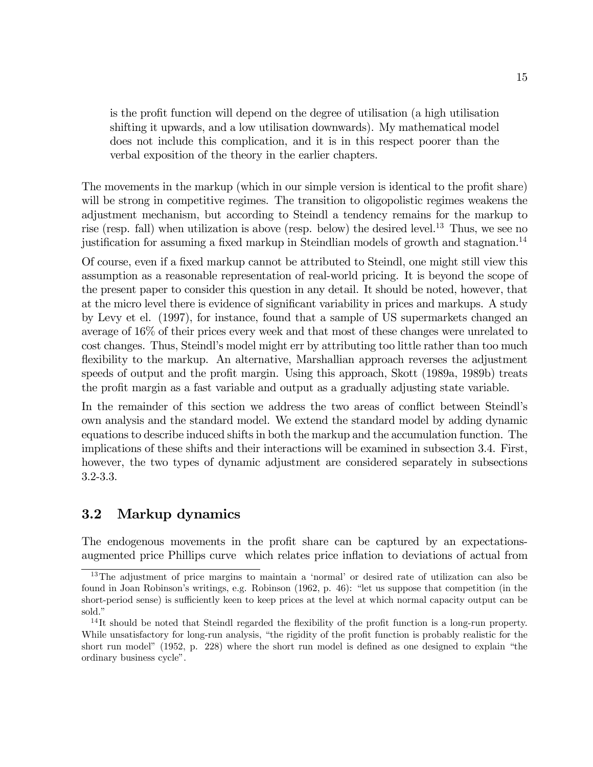is the profit function will depend on the degree of utilisation (a high utilisation shifting it upwards, and a low utilisation downwards). My mathematical model does not include this complication, and it is in this respect poorer than the verbal exposition of the theory in the earlier chapters.

The movements in the markup (which in our simple version is identical to the profit share) will be strong in competitive regimes. The transition to oligopolistic regimes weakens the adjustment mechanism, but according to Steindl a tendency remains for the markup to rise (resp. fall) when utilization is above (resp. below) the desired level.<sup>13</sup> Thus, we see no justification for assuming a fixed markup in Steindlian models of growth and stagnation.<sup>14</sup>

Of course, even if a fixed markup cannot be attributed to Steindl, one might still view this assumption as a reasonable representation of real-world pricing. It is beyond the scope of the present paper to consider this question in any detail. It should be noted, however, that at the micro level there is evidence of significant variability in prices and markups. A study by Levy et el. (1997), for instance, found that a sample of US supermarkets changed an average of 16% of their prices every week and that most of these changes were unrelated to cost changes. Thus, Steindl's model might err by attributing too little rather than too much flexibility to the markup. An alternative, Marshallian approach reverses the adjustment speeds of output and the profit margin. Using this approach, Skott (1989a, 1989b) treats the profit margin as a fast variable and output as a gradually adjusting state variable.

In the remainder of this section we address the two areas of conflict between Steindl's own analysis and the standard model. We extend the standard model by adding dynamic equations to describe induced shifts in both the markup and the accumulation function. The implications of these shifts and their interactions will be examined in subsection 3.4. First, however, the two types of dynamic adjustment are considered separately in subsections 3.2-3.3.

#### 3.2 Markup dynamics

The endogenous movements in the profit share can be captured by an expectationsaugmented price Phillips curve which relates price inflation to deviations of actual from

<sup>13</sup>The adjustment of price margins to maintain a 'normal' or desired rate of utilization can also be found in Joan Robinson's writings, e.g. Robinson (1962, p. 46): "let us suppose that competition (in the short-period sense) is sufficiently keen to keep prices at the level at which normal capacity output can be sold."

<sup>&</sup>lt;sup>14</sup>It should be noted that Steindl regarded the flexibility of the profit function is a long-run property. While unsatisfactory for long-run analysis, "the rigidity of the profit function is probably realistic for the short run model" (1952, p. 228) where the short run model is defined as one designed to explain "the ordinary business cycle".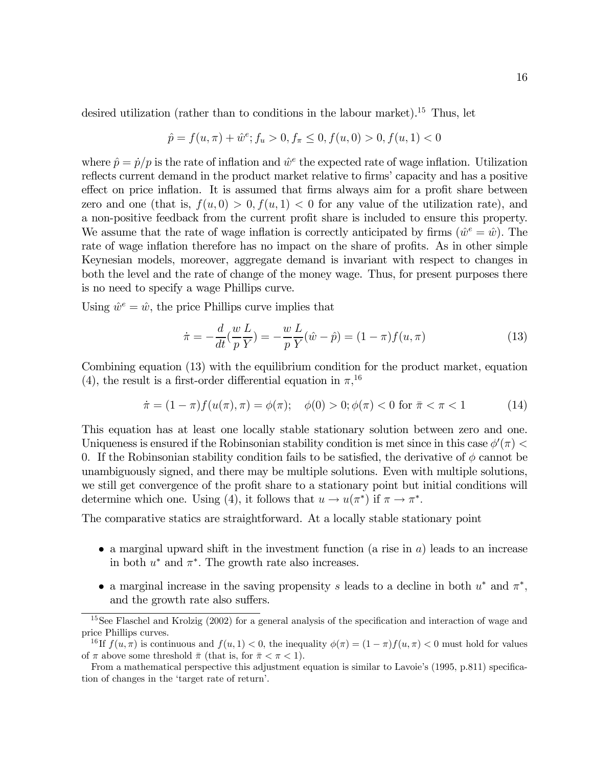desired utilization (rather than to conditions in the labour market).<sup>15</sup> Thus, let

$$
\hat{p} = f(u, \pi) + \hat{w}^e; f_u > 0, f_{\pi} \le 0, f(u, 0) > 0, f(u, 1) < 0
$$

where  $\hat{p} = \dot{p}/p$  is the rate of inflation and  $\hat{w}^e$  the expected rate of wage inflation. Utilization reflects current demand in the product market relative to firms' capacity and has a positive effect on price inflation. It is assumed that firms always aim for a profit share between zero and one (that is,  $f(u, 0) > 0, f(u, 1) < 0$  for any value of the utilization rate), and a non-positive feedback from the current profit share is included to ensure this property. We assume that the rate of wage inflation is correctly anticipated by firms  $(\hat{w}^e = \hat{w})$ . The rate of wage inflation therefore has no impact on the share of profits. As in other simple Keynesian models, moreover, aggregate demand is invariant with respect to changes in both the level and the rate of change of the money wage. Thus, for present purposes there is no need to specify a wage Phillips curve.

Using  $\hat{w}^e = \hat{w}$ , the price Phillips curve implies that

$$
\dot{\pi} = -\frac{d}{dt}(\frac{w}{p}\frac{L}{Y}) = -\frac{w}{p}\frac{L}{Y}(\hat{w} - \hat{p}) = (1 - \pi)f(u, \pi)
$$
\n(13)

Combining equation (13) with the equilibrium condition for the product market, equation (4), the result is a first-order differential equation in  $\pi$ ,<sup>16</sup>,

$$
\dot{\pi} = (1 - \pi)f(u(\pi), \pi) = \phi(\pi); \quad \phi(0) > 0; \phi(\pi) < 0 \text{ for } \bar{\pi} < \pi < 1 \tag{14}
$$

This equation has at least one locally stable stationary solution between zero and one. Uniqueness is ensured if the Robinsonian stability condition is met since in this case  $\phi'(\pi)$ 0. If the Robinsonian stability condition fails to be satisfied, the derivative of  $\phi$  cannot be unambiguously signed, and there may be multiple solutions. Even with multiple solutions, we still get convergence of the profit share to a stationary point but initial conditions will determine which one. Using (4), it follows that  $u \to u(\pi^*)$  if  $\pi \to \pi^*$ .

The comparative statics are straightforward. At a locally stable stationary point

- a marginal upward shift in the investment function (a rise in  $a$ ) leads to an increase in both  $u^*$  and  $\pi^*$ . The growth rate also increases.
- a marginal increase in the saving propensity s leads to a decline in both  $u^*$  and  $\pi^*$ , and the growth rate also suffers.

<sup>15</sup>See Flaschel and Krolzig (2002) for a general analysis of the specification and interaction of wage and price Phillips curves.

<sup>&</sup>lt;sup>16</sup>If  $f(u, \pi)$  is continuous and  $f(u, 1) < 0$ , the inequality  $\phi(\pi) = (1 - \pi)f(u, \pi) < 0$  must hold for values of  $\pi$  above some threshold  $\bar{\pi}$  (that is, for  $\bar{\pi} < \pi < 1$ ).

From a mathematical perspective this adjustment equation is similar to Lavoie's (1995, p.811) specification of changes in the 'target rate of return'.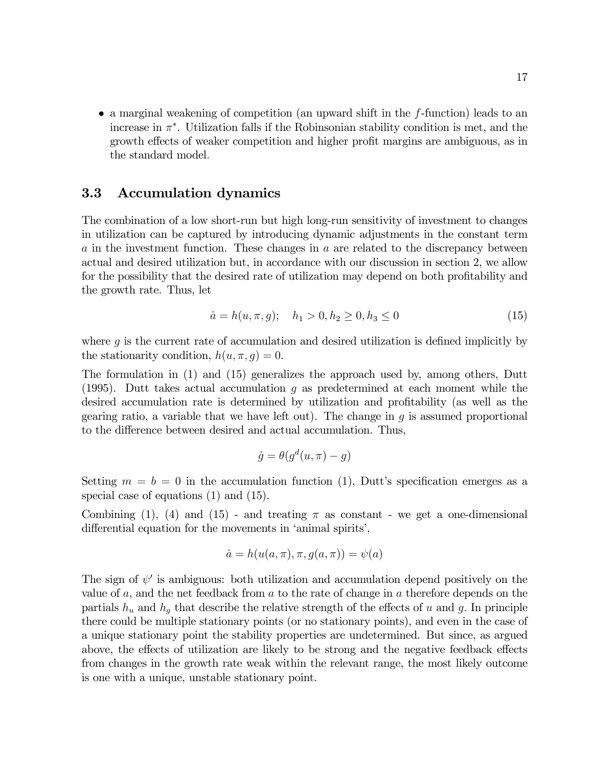• a marginal weakening of competition (an upward shift in the f-function) leads to an increase in  $\pi^*$ . Utilization falls if the Robinsonian stability condition is met, and the growth effects of weaker competition and higher profit margins are ambiguous, as in the standard model.

#### 3.3 Accumulation dynamics

The combination of a low short-run but high long-run sensitivity of investment to changes in utilization can be captured by introducing dynamic adjustments in the constant term a in the investment function. These changes in a are related to the discrepancy between actual and desired utilization but, in accordance with our discussion in section 2, we allow for the possibility that the desired rate of utilization may depend on both profitability and the growth rate. Thus, let

$$
\dot{a} = h(u, \pi, g); \quad h_1 > 0, h_2 \ge 0, h_3 \le 0 \tag{15}
$$

where  $q$  is the current rate of accumulation and desired utilization is defined implicitly by the stationarity condition,  $h(u, \pi, q)=0$ .

The formulation in (1) and (15) generalizes the approach used by, among others, Dutt (1995). Dutt takes actual accumulation  $g$  as predetermined at each moment while the desired accumulation rate is determined by utilization and profitability (as well as the gearing ratio, a variable that we have left out). The change in  $g$  is assumed proportional to the difference between desired and actual accumulation. Thus,

$$
\dot{g} = \theta(g^d(u, \pi) - g)
$$

Setting  $m = b = 0$  in the accumulation function (1), Dutt's specification emerges as a special case of equations (1) and (15).

Combining (1), (4) and (15) - and treating  $\pi$  as constant - we get a one-dimensional differential equation for the movements in 'animal spirits',

$$
\dot{a} = h(u(a, \pi), \pi, g(a, \pi)) = \psi(a)
$$

The sign of  $\psi'$  is ambiguous: both utilization and accumulation depend positively on the value of  $a$ , and the net feedback from  $a$  to the rate of change in  $a$  therefore depends on the partials  $h_u$  and  $h_g$  that describe the relative strength of the effects of u and g. In principle there could be multiple stationary points (or no stationary points), and even in the case of a unique stationary point the stability properties are undetermined. But since, as argued above, the effects of utilization are likely to be strong and the negative feedback effects from changes in the growth rate weak within the relevant range, the most likely outcome is one with a unique, unstable stationary point.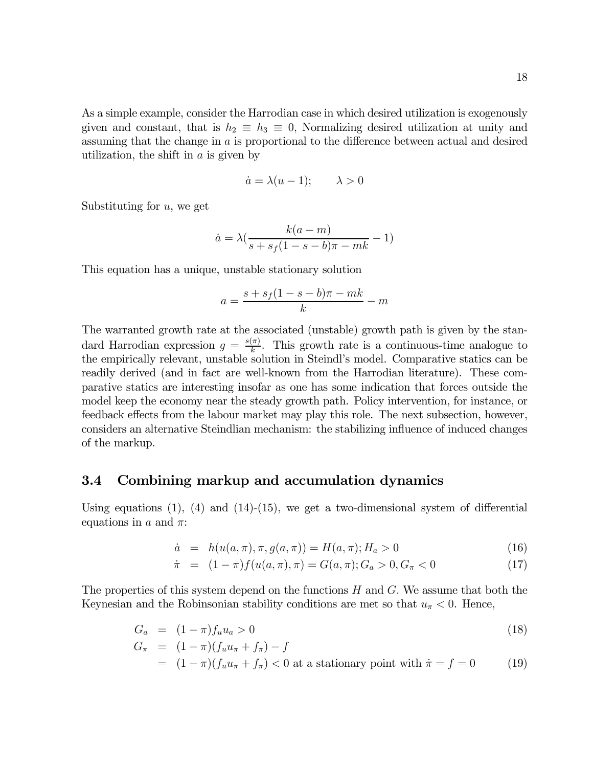As a simple example, consider the Harrodian case in which desired utilization is exogenously given and constant, that is  $h_2 \equiv h_3 \equiv 0$ , Normalizing desired utilization at unity and assuming that the change in a is proportional to the difference between actual and desired utilization, the shift in  $\alpha$  is given by

$$
\dot{a} = \lambda(u-1); \qquad \lambda > 0
$$

Substituting for  $u$ , we get

$$
\dot{a} = \lambda \left( \frac{k(a-m)}{s + s_f(1 - s - b)\pi - mk} - 1 \right)
$$

This equation has a unique, unstable stationary solution

$$
a = \frac{s + s_f(1 - s - b)\pi - mk}{k} - m
$$

The warranted growth rate at the associated (unstable) growth path is given by the standard Harrodian expression  $g = \frac{s(\pi)}{k}$ . This growth rate is a continuous-time analogue to the empirically relevant, unstable solution in Steindl's model. Comparative statics can be readily derived (and in fact are well-known from the Harrodian literature). These comparative statics are interesting insofar as one has some indication that forces outside the model keep the economy near the steady growth path. Policy intervention, for instance, or feedback effects from the labour market may play this role. The next subsection, however, considers an alternative Steindlian mechanism: the stabilizing influence of induced changes of the markup.

#### 3.4 Combining markup and accumulation dynamics

Using equations  $(1)$ ,  $(4)$  and  $(14)-(15)$ , we get a two-dimensional system of differential equations in a and  $\pi$ :

$$
\dot{a} = h(u(a, \pi), \pi, g(a, \pi)) = H(a, \pi); H_a > 0 \tag{16}
$$

$$
\dot{\pi} = (1 - \pi) f(u(a, \pi), \pi) = G(a, \pi); G_a > 0, G_{\pi} < 0 \tag{17}
$$

The properties of this system depend on the functions  $H$  and  $G$ . We assume that both the Keynesian and the Robinsonian stability conditions are met so that  $u_{\pi} < 0$ . Hence,

$$
G_a = (1 - \pi) f_u u_a > 0 \tag{18}
$$

$$
G_{\pi} = (1 - \pi)(f_u u_{\pi} + f_{\pi}) - f
$$
  
=  $(1 - \pi)(f_u u_{\pi} + f_{\pi}) < 0$  at a stationary point with  $\dot{\pi} = f = 0$  (19)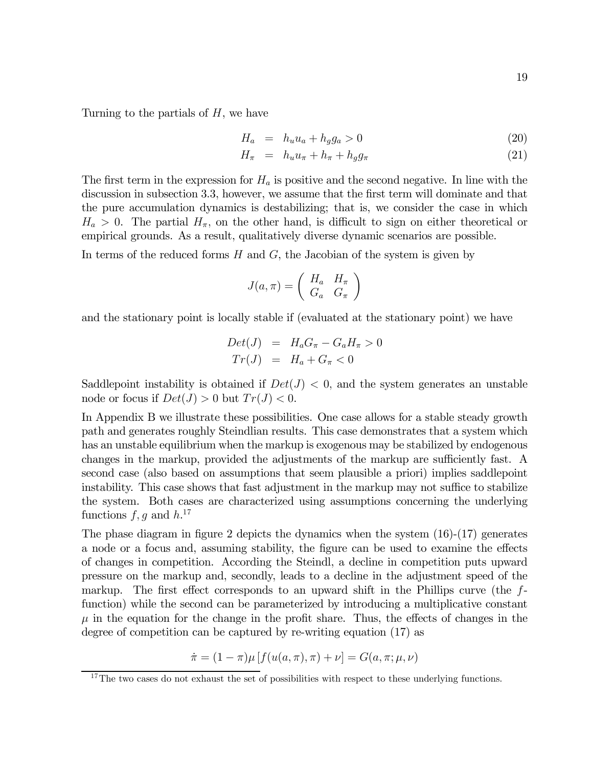Turning to the partials of  $H$ , we have

$$
H_a = h_u u_a + h_g g_a > 0 \tag{20}
$$

$$
H_{\pi} = h_u u_{\pi} + h_{\pi} + h_g g_{\pi} \tag{21}
$$

The first term in the expression for  $H_a$  is positive and the second negative. In line with the discussion in subsection 3.3, however, we assume that the first term will dominate and that the pure accumulation dynamics is destabilizing; that is, we consider the case in which  $H_a > 0$ . The partial  $H_{\pi}$ , on the other hand, is difficult to sign on either theoretical or empirical grounds. As a result, qualitatively diverse dynamic scenarios are possible.

In terms of the reduced forms  $H$  and  $G$ , the Jacobian of the system is given by

$$
J(a,\pi) = \left(\begin{array}{cc} H_a & H_{\pi} \\ G_a & G_{\pi} \end{array}\right)
$$

and the stationary point is locally stable if (evaluated at the stationary point) we have

$$
Det(J) = H_a G_{\pi} - G_a H_{\pi} > 0
$$
  

$$
Tr(J) = H_a + G_{\pi} < 0
$$

Saddlepoint instability is obtained if  $Det(J) < 0$ , and the system generates an unstable node or focus if  $Det(J) > 0$  but  $Tr(J) < 0$ .

In Appendix B we illustrate these possibilities. One case allows for a stable steady growth path and generates roughly Steindlian results. This case demonstrates that a system which has an unstable equilibrium when the markup is exogenous may be stabilized by endogenous changes in the markup, provided the adjustments of the markup are sufficiently fast. A second case (also based on assumptions that seem plausible a priori) implies saddlepoint instability. This case shows that fast adjustment in the markup may not suffice to stabilize the system. Both cases are characterized using assumptions concerning the underlying functions  $f, g$  and  $h$ <sup>17</sup>

The phase diagram in figure 2 depicts the dynamics when the system  $(16)-(17)$  generates a node or a focus and, assuming stability, the figure can be used to examine the effects of changes in competition. According the Steindl, a decline in competition puts upward pressure on the markup and, secondly, leads to a decline in the adjustment speed of the markup. The first effect corresponds to an upward shift in the Phillips curve (the ffunction) while the second can be parameterized by introducing a multiplicative constant  $\mu$  in the equation for the change in the profit share. Thus, the effects of changes in the degree of competition can be captured by re-writing equation (17) as

$$
\dot{\pi} = (1 - \pi)\mu [f(u(a, \pi), \pi) + \nu] = G(a, \pi; \mu, \nu)
$$

<sup>&</sup>lt;sup>17</sup>The two cases do not exhaust the set of possibilities with respect to these underlying functions.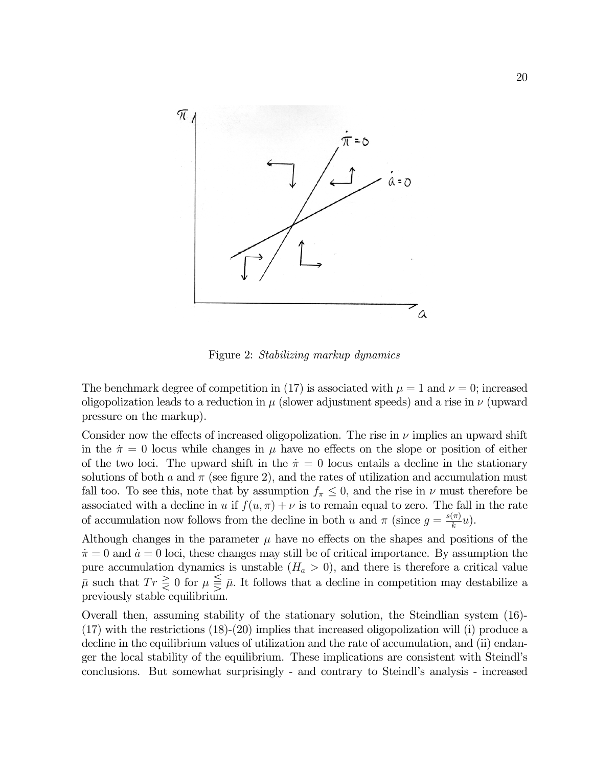

Figure 2: Stabilizing markup dynamics

The benchmark degree of competition in (17) is associated with  $\mu = 1$  and  $\nu = 0$ ; increased oligopolization leads to a reduction in  $\mu$  (slower adjustment speeds) and a rise in  $\nu$  (upward pressure on the markup).

Consider now the effects of increased oligopolization. The rise in  $\nu$  implies an upward shift in the  $\dot{\pi} = 0$  locus while changes in  $\mu$  have no effects on the slope or position of either of the two loci. The upward shift in the  $\dot{\pi} = 0$  locus entails a decline in the stationary solutions of both a and  $\pi$  (see figure 2), and the rates of utilization and accumulation must fall too. To see this, note that by assumption  $f_{\pi} \leq 0$ , and the rise in  $\nu$  must therefore be associated with a decline in u if  $f(u, \pi) + \nu$  is to remain equal to zero. The fall in the rate of accumulation now follows from the decline in both u and  $\pi$  (since  $g = \frac{s(\pi)}{k}u$ ).

Although changes in the parameter  $\mu$  have no effects on the shapes and positions of the  $\dot{\pi} = 0$  and  $\dot{a} = 0$  loci, these changes may still be of critical importance. By assumption the pure accumulation dynamics is unstable  $(H_a > 0)$ , and there is therefore a critical value  $\bar{\mu}$  such that  $Tr \geq 0$  for  $\mu \leq \bar{\mu}$ . It follows that a decline in competition may destabilize a previously stable equilibrium.

Overall then, assuming stability of the stationary solution, the Steindlian system (16)- (17) with the restrictions (18)-(20) implies that increased oligopolization will (i) produce a decline in the equilibrium values of utilization and the rate of accumulation, and (ii) endanger the local stability of the equilibrium. These implications are consistent with Steindl's conclusions. But somewhat surprisingly - and contrary to Steindl's analysis - increased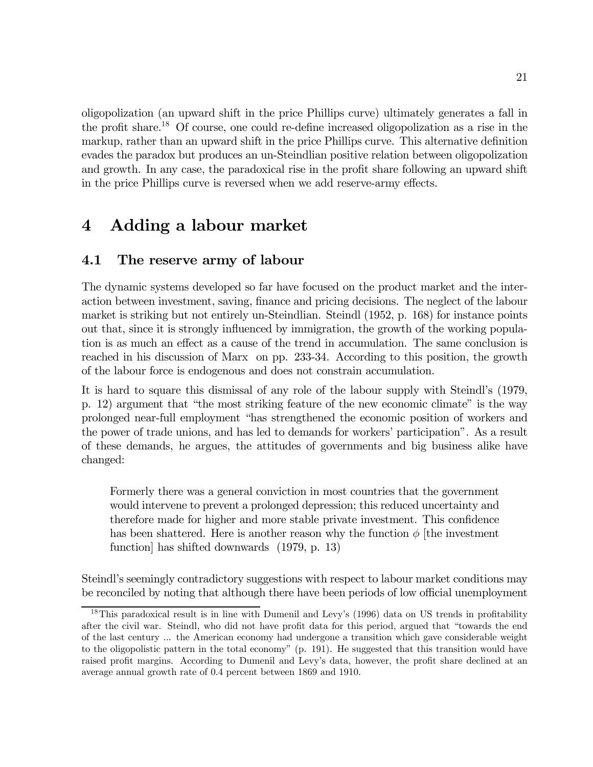oligopolization (an upward shift in the price Phillips curve) ultimately generates a fall in the profit share.18 Of course, one could re-define increased oligopolization as a rise in the markup, rather than an upward shift in the price Phillips curve. This alternative definition evades the paradox but produces an un-Steindlian positive relation between oligopolization and growth. In any case, the paradoxical rise in the profit share following an upward shift in the price Phillips curve is reversed when we add reserve-army effects.

## 4 Adding a labour market

#### 4.1 The reserve army of labour

The dynamic systems developed so far have focused on the product market and the interaction between investment, saving, finance and pricing decisions. The neglect of the labour market is striking but not entirely un-Steindlian. Steindl (1952, p. 168) for instance points out that, since it is strongly influenced by immigration, the growth of the working population is as much an effect as a cause of the trend in accumulation. The same conclusion is reached in his discussion of Marx on pp. 233-34. According to this position, the growth of the labour force is endogenous and does not constrain accumulation.

It is hard to square this dismissal of any role of the labour supply with Steindl's (1979, p. 12) argument that "the most striking feature of the new economic climate" is the way prolonged near-full employment "has strengthened the economic position of workers and the power of trade unions, and has led to demands for workers' participation". As a result of these demands, he argues, the attitudes of governments and big business alike have changed:

Formerly there was a general conviction in most countries that the government would intervene to prevent a prolonged depression; this reduced uncertainty and therefore made for higher and more stable private investment. This confidence has been shattered. Here is another reason why the function  $\phi$  [the investment function] has shifted downwards (1979, p. 13)

Steindl's seemingly contradictory suggestions with respect to labour market conditions may be reconciled by noting that although there have been periods of low official unemployment

<sup>&</sup>lt;sup>18</sup>This paradoxical result is in line with Dumenil and Levy's (1996) data on US trends in profitability after the civil war. Steindl, who did not have profit data for this period, argued that "towards the end of the last century ... the American economy had undergone a transition which gave considerable weight to the oligopolistic pattern in the total economy" (p. 191). He suggested that this transition would have raised profit margins. According to Dumenil and Levy's data, however, the profit share declined at an average annual growth rate of 0.4 percent between 1869 and 1910.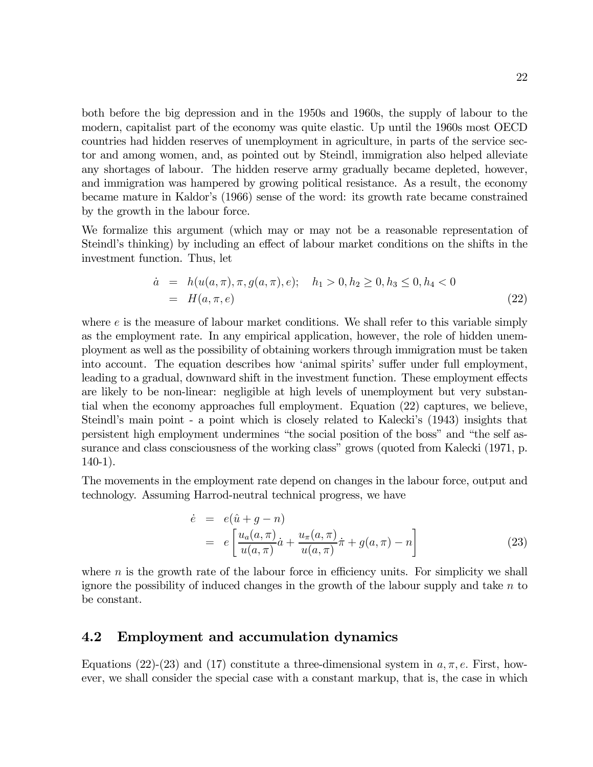both before the big depression and in the 1950s and 1960s, the supply of labour to the modern, capitalist part of the economy was quite elastic. Up until the 1960s most OECD countries had hidden reserves of unemployment in agriculture, in parts of the service sector and among women, and, as pointed out by Steindl, immigration also helped alleviate any shortages of labour. The hidden reserve army gradually became depleted, however, and immigration was hampered by growing political resistance. As a result, the economy became mature in Kaldor's (1966) sense of the word: its growth rate became constrained by the growth in the labour force.

We formalize this argument (which may or may not be a reasonable representation of Steindl's thinking) by including an effect of labour market conditions on the shifts in the investment function. Thus, let

$$
\dot{a} = h(u(a, \pi), \pi, g(a, \pi), e); \quad h_1 > 0, h_2 \ge 0, h_3 \le 0, h_4 < 0
$$
  
=  $H(a, \pi, e)$  (22)

where  $e$  is the measure of labour market conditions. We shall refer to this variable simply as the employment rate. In any empirical application, however, the role of hidden unemployment as well as the possibility of obtaining workers through immigration must be taken into account. The equation describes how 'animal spirits' suffer under full employment, leading to a gradual, downward shift in the investment function. These employment effects are likely to be non-linear: negligible at high levels of unemployment but very substantial when the economy approaches full employment. Equation (22) captures, we believe, Steindl's main point - a point which is closely related to Kalecki's (1943) insights that persistent high employment undermines "the social position of the boss" and "the self assurance and class consciousness of the working class" grows (quoted from Kalecki (1971, p. 140-1).

The movements in the employment rate depend on changes in the labour force, output and technology. Assuming Harrod-neutral technical progress, we have

$$
\dot{e} = e(\hat{u} + g - n) \n= e\left[\frac{u_a(a,\pi)}{u(a,\pi)}\dot{a} + \frac{u_\pi(a,\pi)}{u(a,\pi)}\dot{\pi} + g(a,\pi) - n\right]
$$
\n(23)

where  $n$  is the growth rate of the labour force in efficiency units. For simplicity we shall ignore the possibility of induced changes in the growth of the labour supply and take  $n$  to be constant.

#### 4.2 Employment and accumulation dynamics

Equations (22)-(23) and (17) constitute a three-dimensional system in  $a, \pi, e$ . First, however, we shall consider the special case with a constant markup, that is, the case in which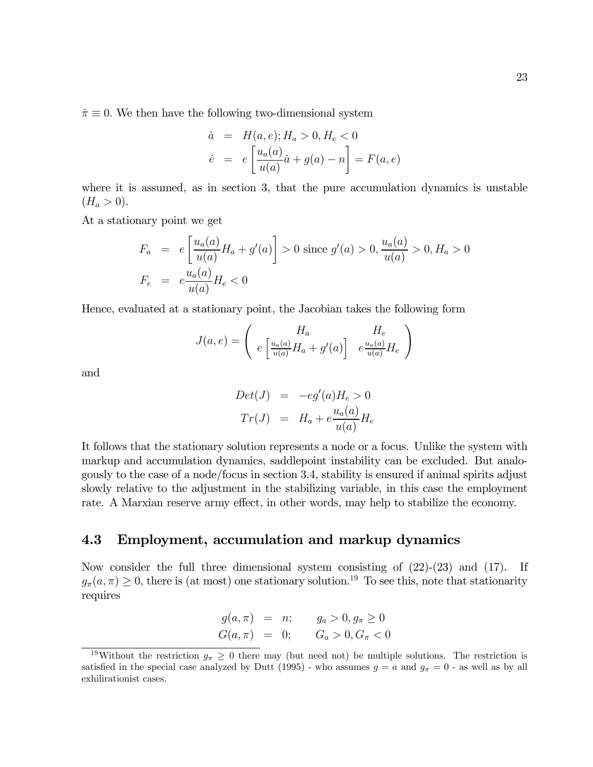$\dot{\pi} \equiv 0$ . We then have the following two-dimensional system

$$
\dot{a} = H(a, e); H_a > 0, H_e < 0
$$
  

$$
\dot{e} = e \left[ \frac{u_a(a)}{u(a)} \dot{a} + g(a) - n \right] = F(a, e)
$$

where it is assumed, as in section 3, that the pure accumulation dynamics is unstable  $(H_a > 0).$ 

At a stationary point we get

$$
F_a = e \left[ \frac{u_a(a)}{u(a)} H_a + g'(a) \right] > 0 \text{ since } g'(a) > 0, \frac{u_a(a)}{u(a)} > 0, H_a > 0
$$
  

$$
F_e = e \frac{u_a(a)}{u(a)} H_e < 0
$$

Hence, evaluated at a stationary point, the Jacobian takes the following form

$$
J(a,e) = \begin{pmatrix} H_a & H_e \\ e \left[ \frac{u_a(a)}{u(a)} H_a + g'(a) \right] & e \frac{u_a(a)}{u(a)} H_e \end{pmatrix}
$$

and

$$
Det(J) = -eg'(a)H_e > 0
$$
  

$$
Tr(J) = H_a + e\frac{u_a(a)}{u(a)}H_e
$$

It follows that the stationary solution represents a node or a focus. Unlike the system with markup and accumulation dynamics, saddlepoint instability can be excluded. But analogously to the case of a node/focus in section 3.4, stability is ensured if animal spirits adjust slowly relative to the adjustment in the stabilizing variable, in this case the employment rate. A Marxian reserve army effect, in other words, may help to stabilize the economy.

#### 4.3 Employment, accumulation and markup dynamics

Now consider the full three dimensional system consisting of  $(22)-(23)$  and  $(17)$ . If  $q_{\pi}(a,\pi) \geq 0$ , there is (at most) one stationary solution.<sup>19</sup> To see this, note that stationarity requires

$$
g(a, \pi) = n; \t g_a > 0, g_{\pi} \ge 0
$$
  

$$
G(a, \pi) = 0; \t G_a > 0, G_{\pi} < 0
$$

<sup>&</sup>lt;sup>19</sup>Without the restriction  $g_{\pi} \geq 0$  there may (but need not) be multiple solutions. The restriction is satisfied in the special case analyzed by Dutt (1995) - who assumes  $g = a$  and  $g_{\pi} = 0$  - as well as by all exhilirationist cases.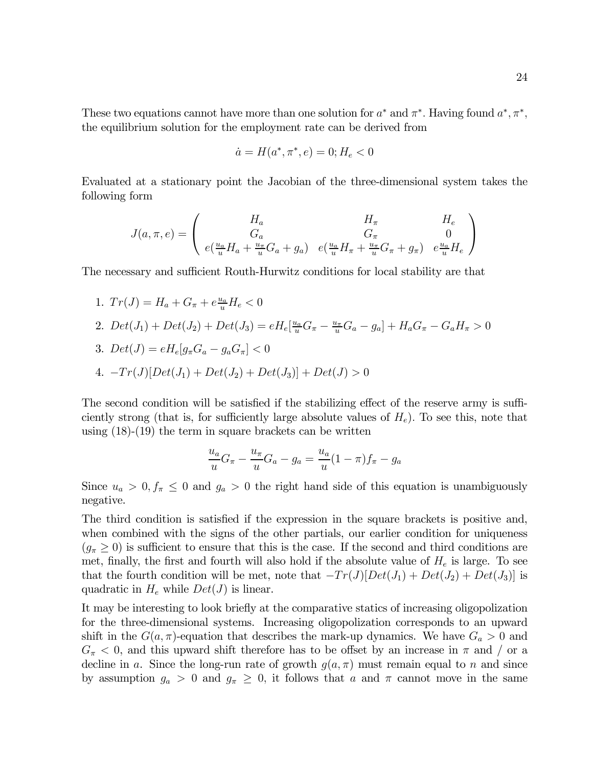24

These two equations cannot have more than one solution for  $a^*$  and  $\pi^*$ . Having found  $a^*, \pi^*$ , the equilibrium solution for the employment rate can be derived from

$$
\dot{a} = H(a^*, \pi^*, e) = 0; H_e < 0
$$

Evaluated at a stationary point the Jacobian of the three-dimensional system takes the following form

$$
J(a,\pi,e) = \begin{pmatrix} H_a & H_{\pi} & H_e \\ G_a & G_{\pi} & 0 \\ e(\frac{u_a}{u}H_a + \frac{u_{\pi}}{u}G_a + g_a) & e(\frac{u_a}{u}H_{\pi} + \frac{u_{\pi}}{u}G_{\pi} + g_{\pi}) & e\frac{u_a}{u}H_e \end{pmatrix}
$$

The necessary and sufficient Routh-Hurwitz conditions for local stability are that

- 1.  $Tr(J) = H_a + G_{\pi} + e \frac{u_a}{u} H_e < 0$
- 2.  $Det(J_1) + Det(J_2) + Det(J_3) = eH_e[\frac{u_a}{u}G_\pi \frac{u_\pi}{u}G_a g_a] + H_aG_\pi G_aH_\pi > 0$
- 3.  $Det(J) = eH_e[g_{\pi}G_a g_aG_{\pi}] < 0$
- 4.  $-Tr(J)[Det(J_1) + Det(J_2) + Det(J_3)] + Det(J) > 0$

The second condition will be satisfied if the stabilizing effect of the reserve army is sufficiently strong (that is, for sufficiently large absolute values of  $H_e$ ). To see this, note that using (18)-(19) the term in square brackets can be written

$$
\frac{u_a}{u}G_{\pi} - \frac{u_{\pi}}{u}G_a - g_a = \frac{u_a}{u}(1-\pi)f_{\pi} - g_a
$$

Since  $u_a > 0, f_\pi \leq 0$  and  $g_a > 0$  the right hand side of this equation is unambiguously negative.

The third condition is satisfied if the expression in the square brackets is positive and, when combined with the signs of the other partials, our earlier condition for uniqueness  $(g_{\pi} \geq 0)$  is sufficient to ensure that this is the case. If the second and third conditions are met, finally, the first and fourth will also hold if the absolute value of  $H_e$  is large. To see that the fourth condition will be met, note that  $-Tr(J)[Det(J_1) + Det(J_2) + Det(J_3)]$  is quadratic in  $H_e$  while  $Det(J)$  is linear.

It may be interesting to look briefly at the comparative statics of increasing oligopolization for the three-dimensional systems. Increasing oligopolization corresponds to an upward shift in the  $G(a, \pi)$ -equation that describes the mark-up dynamics. We have  $G_a > 0$  and  $G_{\pi}$  < 0, and this upward shift therefore has to be offset by an increase in  $\pi$  and / or a decline in a. Since the long-run rate of growth  $g(a, \pi)$  must remain equal to n and since by assumption  $g_a > 0$  and  $g_{\pi} \geq 0$ , it follows that a and  $\pi$  cannot move in the same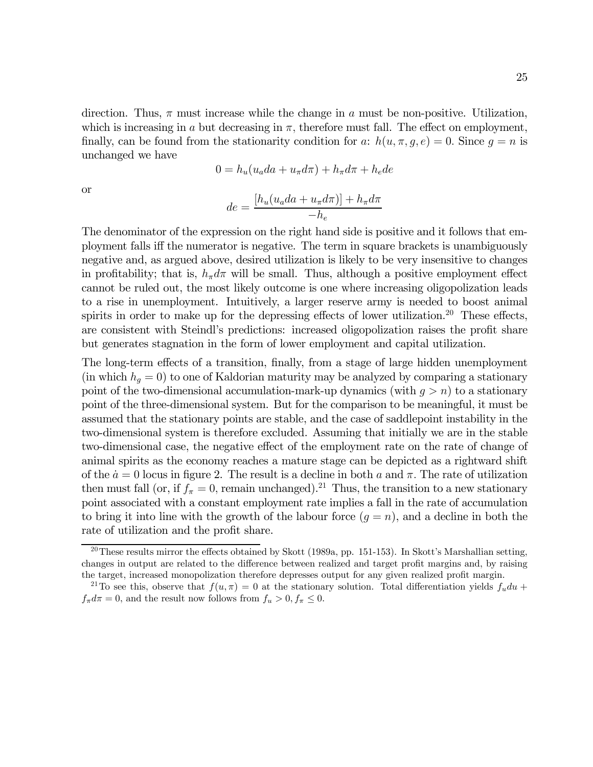direction. Thus,  $\pi$  must increase while the change in a must be non-positive. Utilization, which is increasing in a but decreasing in  $\pi$ , therefore must fall. The effect on employment, finally, can be found from the stationarity condition for a:  $h(u, \pi, g, e) = 0$ . Since  $g = n$  is unchanged we have

$$
0 = h_u(u_a da + u_{\pi} d\pi) + h_{\pi} d\pi + h_e de
$$

or

$$
de = \frac{[h_u(u_a da + u_{\pi} d\pi)] + h_{\pi} d\pi}{-h_e}
$$

The denominator of the expression on the right hand side is positive and it follows that employment falls iff the numerator is negative. The term in square brackets is unambiguously negative and, as argued above, desired utilization is likely to be very insensitive to changes in profitability; that is,  $h_{\pi}d\pi$  will be small. Thus, although a positive employment effect cannot be ruled out, the most likely outcome is one where increasing oligopolization leads to a rise in unemployment. Intuitively, a larger reserve army is needed to boost animal spirits in order to make up for the depressing effects of lower utilization.<sup>20</sup> These effects, are consistent with Steindl's predictions: increased oligopolization raises the profit share but generates stagnation in the form of lower employment and capital utilization.

The long-term effects of a transition, finally, from a stage of large hidden unemployment (in which  $h<sub>g</sub> = 0$ ) to one of Kaldorian maturity may be analyzed by comparing a stationary point of the two-dimensional accumulation-mark-up dynamics (with  $g>n$ ) to a stationary point of the three-dimensional system. But for the comparison to be meaningful, it must be assumed that the stationary points are stable, and the case of saddlepoint instability in the two-dimensional system is therefore excluded. Assuming that initially we are in the stable two-dimensional case, the negative effect of the employment rate on the rate of change of animal spirits as the economy reaches a mature stage can be depicted as a rightward shift of the  $\dot{a} = 0$  locus in figure 2. The result is a decline in both a and  $\pi$ . The rate of utilization then must fall (or, if  $f_{\pi} = 0$ , remain unchanged).<sup>21</sup> Thus, the transition to a new stationary point associated with a constant employment rate implies a fall in the rate of accumulation to bring it into line with the growth of the labour force  $(q = n)$ , and a decline in both the rate of utilization and the profit share.

<sup>&</sup>lt;sup>20</sup>These results mirror the effects obtained by Skott (1989a, pp. 151-153). In Skott's Marshallian setting, changes in output are related to the difference between realized and target profit margins and, by raising the target, increased monopolization therefore depresses output for any given realized profit margin.

<sup>&</sup>lt;sup>21</sup>To see this, observe that  $f(u, \pi)=0$  at the stationary solution. Total differentiation yields  $f_u du +$  $f_{\pi}d\pi = 0$ , and the result now follows from  $f_u > 0, f_{\pi} \leq 0$ .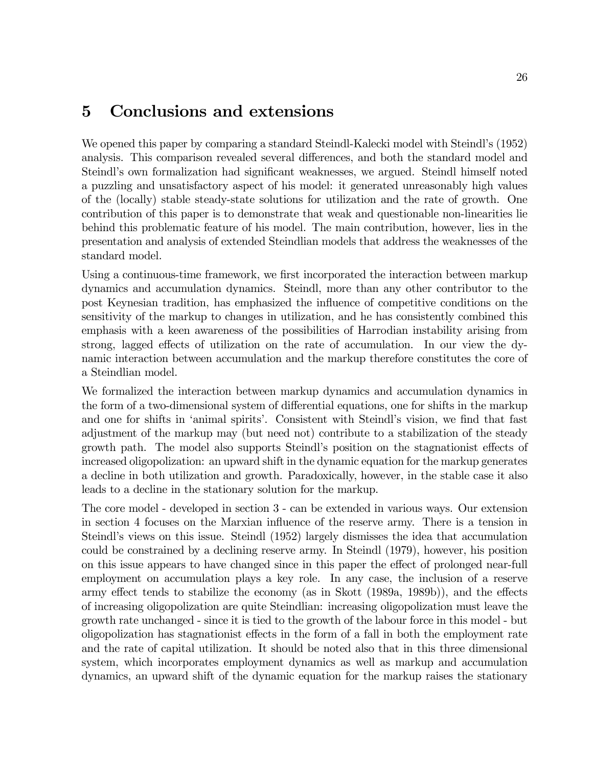### 5 Conclusions and extensions

We opened this paper by comparing a standard Steindl-Kalecki model with Steindl's (1952) analysis. This comparison revealed several differences, and both the standard model and Steindl's own formalization had significant weaknesses, we argued. Steindl himself noted a puzzling and unsatisfactory aspect of his model: it generated unreasonably high values of the (locally) stable steady-state solutions for utilization and the rate of growth. One contribution of this paper is to demonstrate that weak and questionable non-linearities lie behind this problematic feature of his model. The main contribution, however, lies in the presentation and analysis of extended Steindlian models that address the weaknesses of the standard model.

Using a continuous-time framework, we first incorporated the interaction between markup dynamics and accumulation dynamics. Steindl, more than any other contributor to the post Keynesian tradition, has emphasized the influence of competitive conditions on the sensitivity of the markup to changes in utilization, and he has consistently combined this emphasis with a keen awareness of the possibilities of Harrodian instability arising from strong, lagged effects of utilization on the rate of accumulation. In our view the dynamic interaction between accumulation and the markup therefore constitutes the core of a Steindlian model.

We formalized the interaction between markup dynamics and accumulation dynamics in the form of a two-dimensional system of differential equations, one for shifts in the markup and one for shifts in 'animal spirits'. Consistent with Steindl's vision, we find that fast adjustment of the markup may (but need not) contribute to a stabilization of the steady growth path. The model also supports Steindl's position on the stagnationist effects of increased oligopolization: an upward shift in the dynamic equation for the markup generates a decline in both utilization and growth. Paradoxically, however, in the stable case it also leads to a decline in the stationary solution for the markup.

The core model - developed in section 3 - can be extended in various ways. Our extension in section 4 focuses on the Marxian influence of the reserve army. There is a tension in Steindl's views on this issue. Steindl (1952) largely dismisses the idea that accumulation could be constrained by a declining reserve army. In Steindl (1979), however, his position on this issue appears to have changed since in this paper the effect of prolonged near-full employment on accumulation plays a key role. In any case, the inclusion of a reserve army effect tends to stabilize the economy (as in Skott (1989a, 1989b)), and the effects of increasing oligopolization are quite Steindlian: increasing oligopolization must leave the growth rate unchanged - since it is tied to the growth of the labour force in this model - but oligopolization has stagnationist effects in the form of a fall in both the employment rate and the rate of capital utilization. It should be noted also that in this three dimensional system, which incorporates employment dynamics as well as markup and accumulation dynamics, an upward shift of the dynamic equation for the markup raises the stationary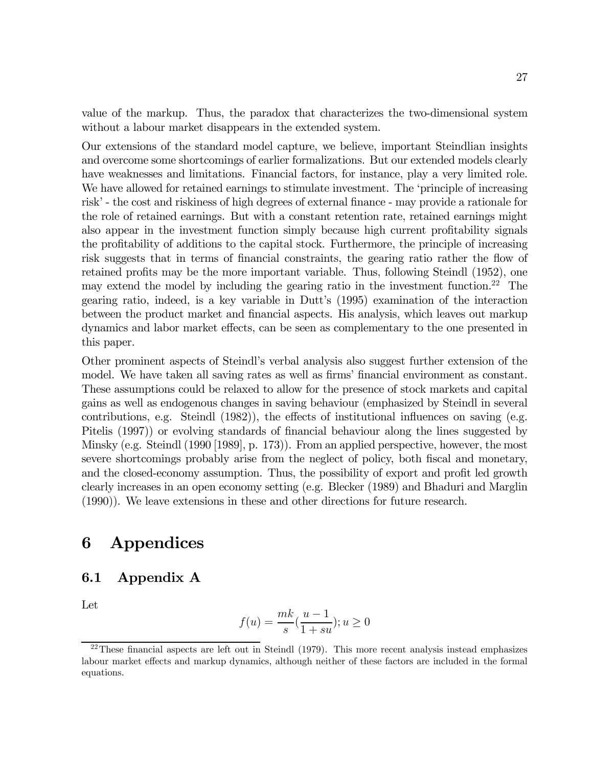value of the markup. Thus, the paradox that characterizes the two-dimensional system without a labour market disappears in the extended system.

Our extensions of the standard model capture, we believe, important Steindlian insights and overcome some shortcomings of earlier formalizations. But our extended models clearly have weaknesses and limitations. Financial factors, for instance, play a very limited role. We have allowed for retained earnings to stimulate investment. The 'principle of increasing risk' - the cost and riskiness of high degrees of external finance - may provide a rationale for the role of retained earnings. But with a constant retention rate, retained earnings might also appear in the investment function simply because high current profitability signals the profitability of additions to the capital stock. Furthermore, the principle of increasing risk suggests that in terms of financial constraints, the gearing ratio rather the flow of retained profits may be the more important variable. Thus, following Steindl (1952), one may extend the model by including the gearing ratio in the investment function.<sup>22</sup> The gearing ratio, indeed, is a key variable in Dutt's (1995) examination of the interaction between the product market and financial aspects. His analysis, which leaves out markup dynamics and labor market effects, can be seen as complementary to the one presented in this paper.

Other prominent aspects of Steindl's verbal analysis also suggest further extension of the model. We have taken all saving rates as well as firms' financial environment as constant. These assumptions could be relaxed to allow for the presence of stock markets and capital gains as well as endogenous changes in saving behaviour (emphasized by Steindl in several contributions, e.g. Steindl (1982)), the effects of institutional influences on saving (e.g. Pitelis (1997)) or evolving standards of financial behaviour along the lines suggested by Minsky (e.g. Steindl (1990 [1989], p. 173)). From an applied perspective, however, the most severe shortcomings probably arise from the neglect of policy, both fiscal and monetary, and the closed-economy assumption. Thus, the possibility of export and profit led growth clearly increases in an open economy setting (e.g. Blecker (1989) and Bhaduri and Marglin (1990)). We leave extensions in these and other directions for future research.

## 6 Appendices

#### 6.1 Appendix A

Let

$$
f(u) = \frac{mk}{s}(\frac{u-1}{1+su}); u \ge 0
$$

 $22$ These financial aspects are left out in Steindl (1979). This more recent analysis instead emphasizes labour market effects and markup dynamics, although neither of these factors are included in the formal equations.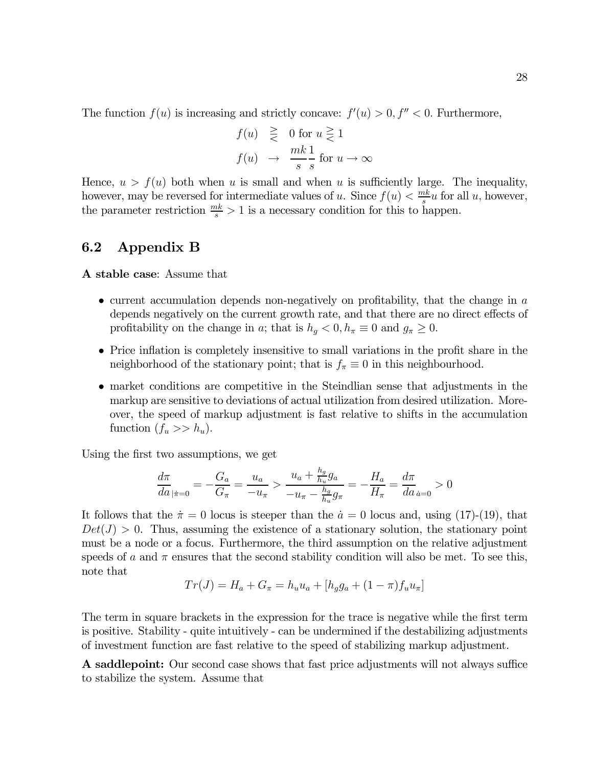The function  $f(u)$  is increasing and strictly concave:  $f'(u) > 0, f'' < 0$ . Furthermore,

$$
f(u) \geq 0 \text{ for } u \geq 1
$$
  

$$
f(u) \rightarrow \frac{mk}{s} \frac{1}{s} \text{ for } u \rightarrow \infty
$$

Hence,  $u > f(u)$  both when u is small and when u is sufficiently large. The inequality, however, may be reversed for intermediate values of u. Since  $f(u) < \frac{mk}{s}u$  for all u, however, the parameter restriction  $\frac{mk}{s} > 1$  is a necessary condition for this to happen.

#### 6.2 Appendix B

A stable case: Assume that

- current accumulation depends non-negatively on profitability, that the change in a depends negatively on the current growth rate, and that there are no direct effects of profitability on the change in a; that is  $h_g < 0$ ,  $h_\pi \equiv 0$  and  $g_\pi \geq 0$ .
- Price inflation is completely insensitive to small variations in the profit share in the neighborhood of the stationary point; that is  $f_{\pi} \equiv 0$  in this neighbourhood.
- market conditions are competitive in the Steindlian sense that adjustments in the markup are sensitive to deviations of actual utilization from desired utilization. Moreover, the speed of markup adjustment is fast relative to shifts in the accumulation function  $(f_u \gg h_u)$ .

Using the first two assumptions, we get

$$
\frac{d\pi}{da}_{|\pi=0} = -\frac{G_a}{G_\pi} = \frac{u_a}{-u_\pi} > \frac{u_a + \frac{h_g}{h_u}g_a}{-u_\pi - \frac{h_g}{h_u}g_\pi} = -\frac{H_a}{H_\pi} = \frac{d\pi}{da}_{\dot{a}=0} > 0
$$

It follows that the  $\dot{\pi} = 0$  locus is steeper than the  $\dot{a} = 0$  locus and, using (17)-(19), that  $Det(J) > 0$ . Thus, assuming the existence of a stationary solution, the stationary point must be a node or a focus. Furthermore, the third assumption on the relative adjustment speeds of a and  $\pi$  ensures that the second stability condition will also be met. To see this, note that

$$
Tr(J) = H_a + G_{\pi} = h_u u_a + [h_g g_a + (1 - \pi) f_u u_{\pi}]
$$

The term in square brackets in the expression for the trace is negative while the first term is positive. Stability - quite intuitively - can be undermined if the destabilizing adjustments of investment function are fast relative to the speed of stabilizing markup adjustment.

A saddlepoint: Our second case shows that fast price adjustments will not always suffice to stabilize the system. Assume that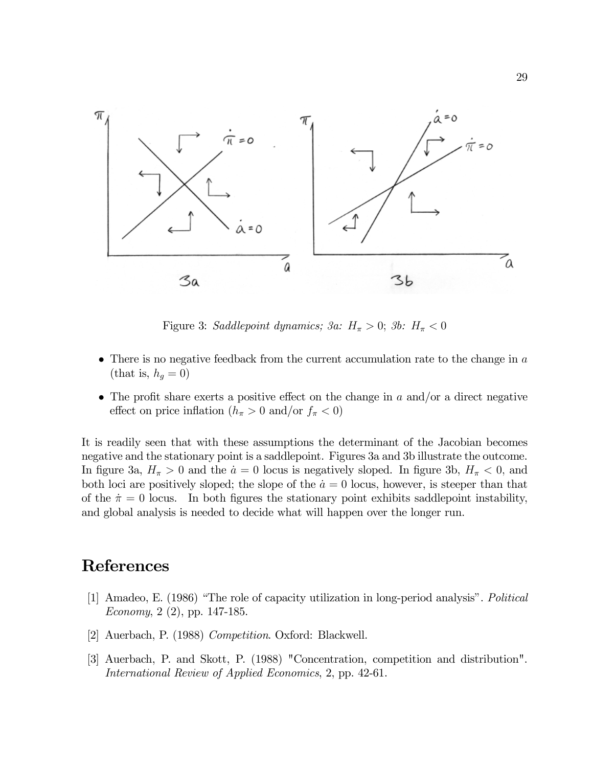

Figure 3: Saddlepoint dynamics; 3a:  $H_{\pi} > 0$ ; 3b:  $H_{\pi} < 0$ 

- There is no negative feedback from the current accumulation rate to the change in  $a$ (that is,  $h_g = 0$ )
- The profit share exerts a positive effect on the change in  $a$  and/or a direct negative effect on price inflation  $(h_{\pi} > 0 \text{ and/or } f_{\pi} < 0)$

It is readily seen that with these assumptions the determinant of the Jacobian becomes negative and the stationary point is a saddlepoint. Figures 3a and 3b illustrate the outcome. In figure 3a,  $H_{\pi} > 0$  and the  $\dot{a} = 0$  locus is negatively sloped. In figure 3b,  $H_{\pi} < 0$ , and both loci are positively sloped; the slope of the  $\dot{a} = 0$  locus, however, is steeper than that of the  $\pi = 0$  locus. In both figures the stationary point exhibits saddlepoint instability, and global analysis is needed to decide what will happen over the longer run.

## References

- [1] Amadeo, E. (1986) "The role of capacity utilization in long-period analysis". Political Economy, 2 (2), pp. 147-185.
- [2] Auerbach, P. (1988) Competition. Oxford: Blackwell.
- [3] Auerbach, P. and Skott, P. (1988) "Concentration, competition and distribution". International Review of Applied Economics, 2, pp. 42-61.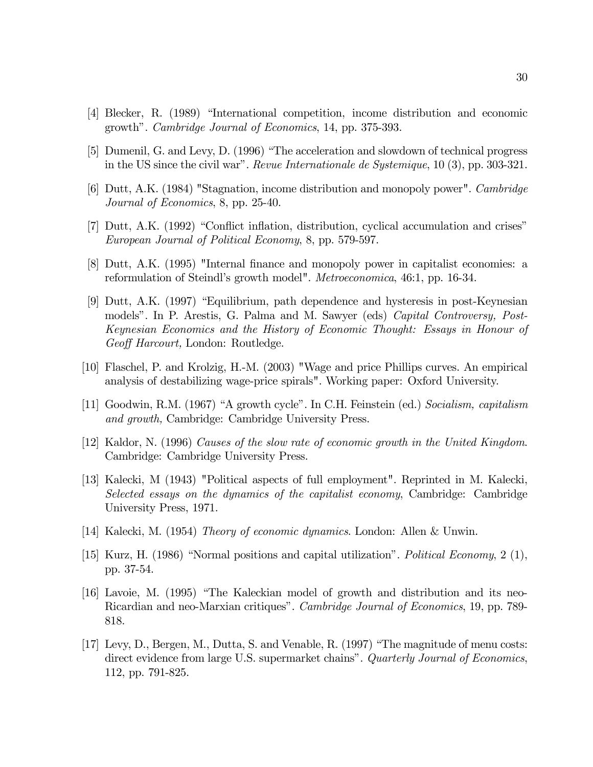- [4] Blecker, R. (1989) "International competition, income distribution and economic growth". Cambridge Journal of Economics, 14, pp. 375-393.
- [5] Dumenil, G. and Levy, D. (1996) "The acceleration and slowdown of technical progress in the US since the civil war". Revue Internationale de Systemique, 10 (3), pp. 303-321.
- [6] Dutt, A.K. (1984) "Stagnation, income distribution and monopoly power". Cambridge Journal of Economics, 8, pp. 25-40.
- [7] Dutt, A.K. (1992) "Conflict inflation, distribution, cyclical accumulation and crises" European Journal of Political Economy, 8, pp. 579-597.
- [8] Dutt, A.K. (1995) "Internal finance and monopoly power in capitalist economies: a reformulation of Steindl's growth model". Metroeconomica, 46:1, pp. 16-34.
- [9] Dutt, A.K. (1997) "Equilibrium, path dependence and hysteresis in post-Keynesian models". In P. Arestis, G. Palma and M. Sawyer (eds) Capital Controversy, Post-Keynesian Economics and the History of Economic Thought: Essays in Honour of Geoff Harcourt, London: Routledge.
- [10] Flaschel, P. and Krolzig, H.-M. (2003) "Wage and price Phillips curves. An empirical analysis of destabilizing wage-price spirals". Working paper: Oxford University.
- [11] Goodwin, R.M. (1967) "A growth cycle". In C.H. Feinstein (ed.) Socialism, capitalism and growth, Cambridge: Cambridge University Press.
- [12] Kaldor, N. (1996) Causes of the slow rate of economic growth in the United Kingdom. Cambridge: Cambridge University Press.
- [13] Kalecki, M (1943) "Political aspects of full employment". Reprinted in M. Kalecki, Selected essays on the dynamics of the capitalist economy, Cambridge: Cambridge University Press, 1971.
- [14] Kalecki, M. (1954) Theory of economic dynamics. London: Allen & Unwin.
- [15] Kurz, H. (1986) "Normal positions and capital utilization". Political Economy, 2 (1), pp. 37-54.
- [16] Lavoie, M. (1995) "The Kaleckian model of growth and distribution and its neo-Ricardian and neo-Marxian critiques". Cambridge Journal of Economics, 19, pp. 789- 818.
- [17] Levy, D., Bergen, M., Dutta, S. and Venable, R. (1997) "The magnitude of menu costs: direct evidence from large U.S. supermarket chains". Quarterly Journal of Economics, 112, pp. 791-825.